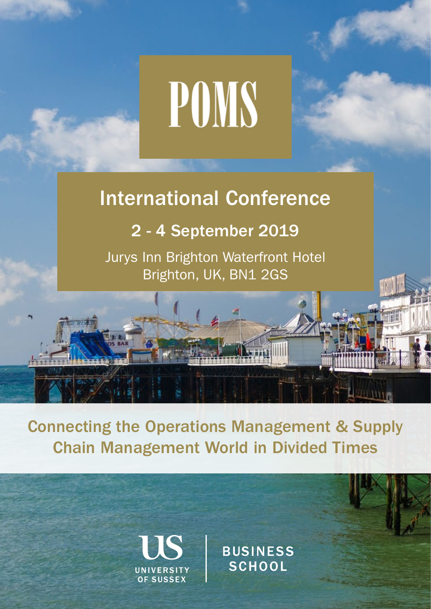# POMS

# International Conference

# 2 - 4 September 2019

Jurys Inn Brighton Waterfront Hotel Brighton, UK, BN1 2GS

Connecting the Operations Management & Supply Chain Management World in Divided Times

**OF SUSSEX** 

**BUSINESS** SCHOOL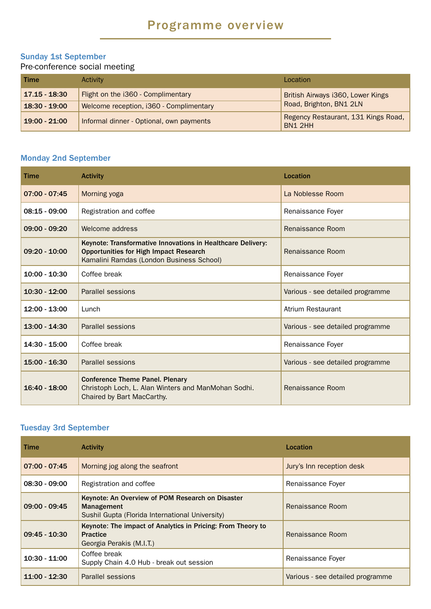# Programme overview

# Sunday 1st September

Pre-conference social meeting

| Time            | Activity                                 | Location                                       |
|-----------------|------------------------------------------|------------------------------------------------|
| 17.15 - 18:30   | Flight on the i360 - Complimentary       | British Airways i360, Lower Kings              |
| $18:30 - 19:00$ | Welcome reception, i360 - Complimentary  | Road, Brighton, BN1 2LN                        |
| $19:00 - 21:00$ | Informal dinner - Optional, own payments | Regency Restaurant, 131 Kings Road,<br>BN1 2HH |

# Monday 2nd September

| Time            | <b>Activity</b>                                                                                                                                          | Location                         |
|-----------------|----------------------------------------------------------------------------------------------------------------------------------------------------------|----------------------------------|
| $07:00 - 07:45$ | Morning yoga                                                                                                                                             | La Noblesse Room                 |
| $08:15 - 09:00$ | Registration and coffee                                                                                                                                  | Renaissance Foyer                |
| 09:00 - 09:20   | Welcome address                                                                                                                                          | Renaissance Room                 |
| $09:20 - 10:00$ | Keynote: Transformative Innovations in Healthcare Delivery:<br><b>Opportunities for High Impact Research</b><br>Kamalini Ramdas (London Business School) | Renaissance Room                 |
| $10:00 - 10:30$ | Coffee break                                                                                                                                             | Renaissance Foyer                |
| $10:30 - 12:00$ | Parallel sessions                                                                                                                                        | Various - see detailed programme |
| 12:00 - 13:00   | Lunch                                                                                                                                                    | Atrium Restaurant                |
| $13:00 - 14:30$ | Parallel sessions                                                                                                                                        | Various - see detailed programme |
| 14:30 - 15:00   | Coffee break                                                                                                                                             | Renaissance Foyer                |
| 15:00 - 16:30   | Parallel sessions                                                                                                                                        | Various - see detailed programme |
| 16:40 - 18:00   | <b>Conference Theme Panel. Plenary</b><br>Christoph Loch, L. Alan Winters and ManMohan Sodhi.<br>Chaired by Bart MacCarthy.                              | Renaissance Room                 |

# Tuesday 3rd September

| <b>Time</b>     | <b>Activity</b>                                                                                                   | Location                         |
|-----------------|-------------------------------------------------------------------------------------------------------------------|----------------------------------|
| $07:00 - 07:45$ | Morning jog along the seafront                                                                                    | Jury's Inn reception desk        |
| $08:30 - 09:00$ | Registration and coffee                                                                                           | Renaissance Foyer                |
| $09:00 - 09:45$ | Keynote: An Overview of POM Research on Disaster<br>Management<br>Sushil Gupta (Florida International University) | Renaissance Room                 |
| $09:45 - 10:30$ | Keynote: The impact of Analytics in Pricing: From Theory to<br><b>Practice</b><br>Georgia Perakis (M.I.T.)        | Renaissance Room                 |
| $10:30 - 11:00$ | Coffee break<br>Supply Chain 4.0 Hub - break out session                                                          | Renaissance Foyer                |
| $11:00 - 12:30$ | Parallel sessions                                                                                                 | Various - see detailed programme |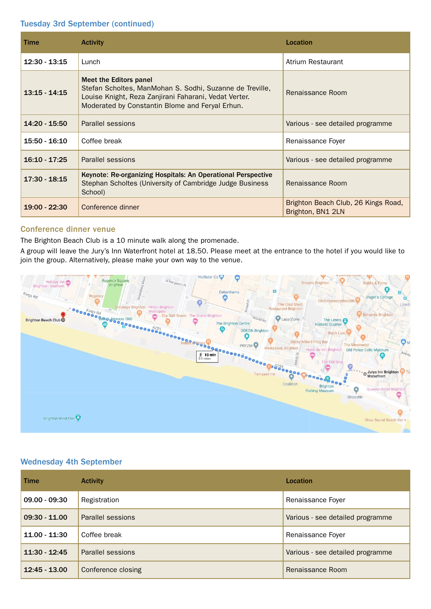# Tuesday 3rd September (continued)

| <b>Time</b>     | <b>Activity</b>                                                                                                                                                                                | Location                                                 |
|-----------------|------------------------------------------------------------------------------------------------------------------------------------------------------------------------------------------------|----------------------------------------------------------|
| $12:30 - 13:15$ | Lunch                                                                                                                                                                                          | Atrium Restaurant                                        |
| $13:15 - 14:15$ | Meet the Editors panel<br>Stefan Scholtes, ManMohan S. Sodhi, Suzanne de Treville,<br>Louise Knight, Reza Zanjirani Faharani, Vedat Verter.<br>Moderated by Constantin Blome and Feryal Erhun. | Renaissance Room                                         |
| 14:20 - 15:50   | Parallel sessions                                                                                                                                                                              | Various - see detailed programme                         |
| 15:50 - 16:10   | Coffee break                                                                                                                                                                                   | Renaissance Foyer                                        |
| $16:10 - 17:25$ | Parallel sessions                                                                                                                                                                              | Various - see detailed programme                         |
| $17:30 - 18:15$ | Keynote: Re-organizing Hospitals: An Operational Perspective<br>Stephan Scholtes (University of Cambridge Judge Business<br>School)                                                            | Renaissance Room                                         |
| $19:00 - 22:30$ | Conference dinner                                                                                                                                                                              | Brighton Beach Club, 26 Kings Road,<br>Brighton, BN1 2LN |

# Conference dinner venue

The Brighton Beach Club is a 10 minute walk along the promenade.

A group will leave the Jury's Inn Waterfront hotel at 18.50. Please meet at the entrance to the hotel if you would like to join the group. Alternatively, please make your own way to the venue.



# Wednesday 4th September

| <b>Time</b>     | <b>Activity</b>    | Location                         |
|-----------------|--------------------|----------------------------------|
| $09.00 - 09:30$ | Registration       | Renaissance Foyer                |
| $09:30 - 11.00$ | Parallel sessions  | Various - see detailed programme |
| $11.00 - 11.30$ | Coffee break       | Renaissance Foyer                |
| $11:30 - 12:45$ | Parallel sessions  | Various - see detailed programme |
| $12:45 - 13.00$ | Conference closing | Renaissance Room                 |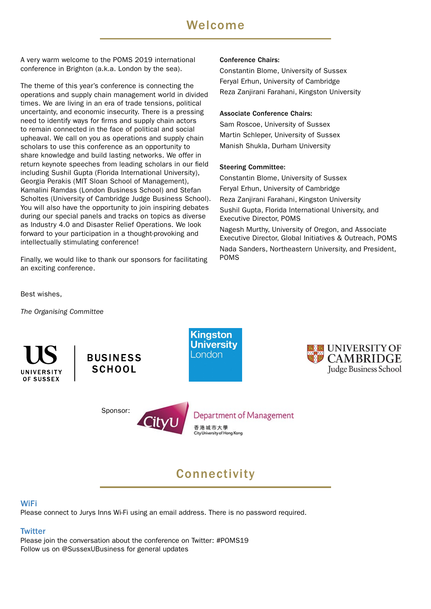# Welcome

A very warm welcome to the POMS 2019 international conference in Brighton (a.k.a. London by the sea).

The theme of this year's conference is connecting the operations and supply chain management world in divided times. We are living in an era of trade tensions, political uncertainty, and economic insecurity. There is a pressing need to identify ways for firms and supply chain actors to remain connected in the face of political and social upheaval. We call on you as operations and supply chain scholars to use this conference as an opportunity to share knowledge and build lasting networks. We offer in return keynote speeches from leading scholars in our field including Sushil Gupta (Florida International University), Georgia Perakis (MIT Sloan School of Management), Kamalini Ramdas (London Business School) and Stefan Scholtes (University of Cambridge Judge Business School). You will also have the opportunity to join inspiring debates during our special panels and tracks on topics as diverse as Industry 4.0 and Disaster Relief Operations. We look forward to your participation in a thought-provoking and intellectually stimulating conference!

Finally, we would like to thank our sponsors for facilitating an exciting conference.

# Conference Chairs:

Constantin Blome, University of Sussex Feryal Erhun, University of Cambridge Reza Zanjirani Farahani, Kingston University

# Associate Conference Chairs:

Sam Roscoe, University of Sussex Martin Schleper, University of Sussex Manish Shukla, Durham University

# Steering Committee:

Constantin Blome, University of Sussex Feryal Erhun, University of Cambridge Reza Zanjirani Farahani, Kingston University Sushil Gupta, Florida International University, and Executive Director, POMS

Nagesh Murthy, University of Oregon, and Associate Executive Director, Global Initiatives & Outreach, POMS Nada Sanders, Northeastern University, and President, POMS

Best wishes,

*The Organising Committee*



**BUSINESS SCHOOL** 

Sponsor:





Department of Management 香港城市大學 City University of Hong Kong

# Connectivity

# WiFi

Please connect to Jurys Inns Wi-Fi using an email address. There is no password required.

# **Twitter**

Please join the conversation about the conference on Twitter: #POMS19 Follow us on @SussexUBusiness for general updates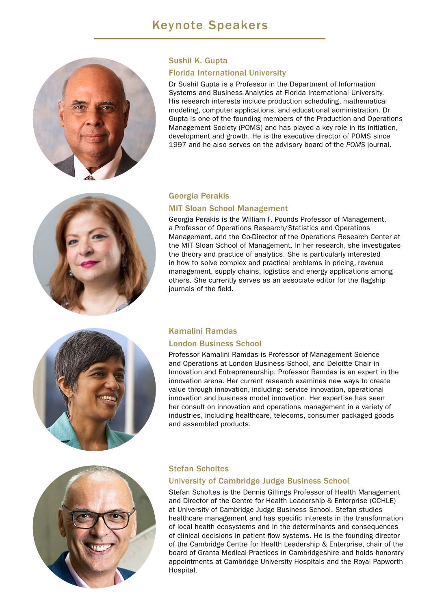

# Sushil K. Gupta

# Florida International University

Dr Sushil Gupta is a Professor in the Department of Information Systems and Business Analytics at Florida International University. His research interests include production scheduling, mathematical modeling, computer applications, and educational administration. Dr Gupta is one of the founding members of the Production and Operations Management Society (POMS) and has played a key role in its initiation, development and growth. He is the executive director of POMS since 1997 and he also serves on the advisory board of the *POMS* journal.



# Georgia Perakis

# MIT Sloan School Management

Georgia Perakis is the William F. Pounds Professor of Management, a Professor of Operations Research/Statistics and Operations Management, and the Co-Director of the Operations Research Center at the MIT Sloan School of Management. In her research, she investigates the theory and practice of analytics. She is particularly interested in how to solve complex and practical problems in pricing, revenue management, supply chains, logistics and energy applications among others. She currently serves as an associate editor for the flagship journals of the field.



# Kamalini Ramdas

# London Business School

Professor Kamalini Ramdas is Professor of Management Science and Operations at London Business School, and Deloitte Chair in Innovation and Entrepreneurship. Professor Ramdas is an expert in the innovation arena. Her current research examines new ways to create value through innovation, including: service innovation, operational innovation and business model innovation. Her expertise has seen her consult on innovation and operations management in a variety of industries, including healthcare, telecoms, consumer packaged goods and assembled products.



# Stefan Scholtes

# University of Cambridge Judge Business School

Stefan Scholtes is the Dennis Gillings Professor of Health Management and Director of the Centre for Health Leadership & Enterprise (CCHLE) at University of Cambridge Judge Business School. Stefan studies healthcare management and has specific interests in the transformation of local health ecosystems and in the determinants and consequences of clinical decisions in patient flow systems. He is the founding director of the Cambridge Centre for Health Leadership & Enterprise, chair of the board of Granta Medical Practices in Cambridgeshire and holds honorary appointments at Cambridge University Hospitals and the Royal Papworth Hospital.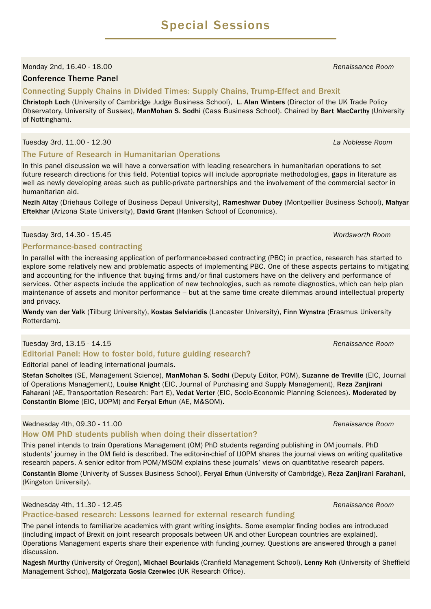# Monday 2nd, 16.40 - 18.00 *Renaissance Room*

# Conference Theme Panel

# Connecting Supply Chains in Divided Times: Supply Chains, Trump-Effect and Brexit

Christoph Loch (University of Cambridge Judge Business School), L. Alan Winters (Director of the UK Trade Policy Observatory, University of Sussex), ManMohan S. Sodhi (Cass Business School). Chaired by Bart MacCarthy (University of Nottingham).

# Tuesday 3rd, 11.00 - 12.30 *La Noblesse Room*

# The Future of Research in Humanitarian Operations

In this panel discussion we will have a conversation with leading researchers in humanitarian operations to set future research directions for this field. Potential topics will include appropriate methodologies, gaps in literature as well as newly developing areas such as public-private partnerships and the involvement of the commercial sector in humanitarian aid.

Nezih Altay (Driehaus College of Business Depaul University), Rameshwar Dubey (Montpellier Business School), Mahyar Eftekhar (Arizona State University), David Grant (Hanken School of Economics).

# Tuesday 3rd, 14.30 - 15.45 *Wordsworth Room*

# Performance-based contracting

In parallel with the increasing application of performance-based contracting (PBC) in practice, research has started to explore some relatively new and problematic aspects of implementing PBC. One of these aspects pertains to mitigating and accounting for the influence that buying firms and/or final customers have on the delivery and performance of services. Other aspects include the application of new technologies, such as remote diagnostics, which can help plan maintenance of assets and monitor performance – but at the same time create dilemmas around intellectual property and privacy.

Wendy van der Valk (Tilburg University), Kostas Selviaridis (Lancaster University), Finn Wynstra (Erasmus University Rotterdam).

# Tuesday 3rd, 13.15 - 14.15 *Renaissance Room*

Editorial Panel: How to foster bold, future guiding research?

# Editorial panel of leading international journals.

Stefan Scholtes (SE, Management Science), ManMohan S. Sodhi (Deputy Editor, POM), Suzanne de Treville (EIC, Journal of Operations Management), Louise Knight (EIC, Journal of Purchasing and Supply Management), Reza Zanjirani Faharani (AE, Transportation Research: Part E), Vedat Verter (EIC, Socio-Economic Planning Sciences). Moderated by Constantin Blome (EIC, IJOPM) and Feryal Erhun (AE, M&SOM).

# Wednesday 4th, 09.30 - 11.00 *Renaissance Room* **Renaissance Room** *Renaissance Room*

# How OM PhD students publish when doing their dissertation?

This panel intends to train Operations Management (OM) PhD students regarding publishing in OM journals. PhD students' journey in the OM field is described. The editor-in-chief of IJOPM shares the journal views on writing qualitative research papers. A senior editor from POM/MSOM explains these journals' views on quantitative research papers.

Constantin Blome (Univerity of Sussex Business School), Feryal Erhun (University of Cambridge), Reza Zanjirani Farahani, (Kingston University).

# Wednesday 4th, 11.30 - 12.45 *Renaissance Room*

# Practice-based research: Lessons learned for external research funding

The panel intends to familiarize academics with grant writing insights. Some exemplar finding bodies are introduced (including impact of Brexit on joint research proposals between UK and other European countries are explained). Operations Management experts share their experience with funding journey. Questions are answered through a panel discussion.

Nagesh Murthy (University of Oregon), Michael Bourlakis (Cranfield Management School), Lenny Koh (University of Sheffield Management Schoo), Malgorzata Gosia Czerwiec (UK Research Office).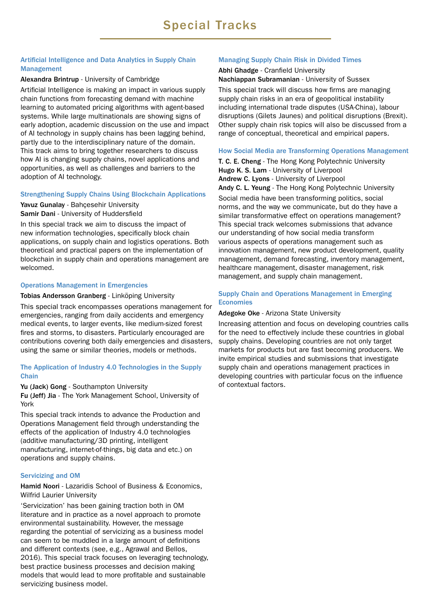# Artificial Intelligence and Data Analytics in Supply Chain Management

# Alexandra Brintrup - University of Cambridge

Artificial Intelligence is making an impact in various supply chain functions from forecasting demand with machine learning to automated pricing algorithms with agent-based systems. While large multinationals are showing signs of early adoption, academic discussion on the use and impact of AI technology in supply chains has been lagging behind, partly due to the interdisciplinary nature of the domain. This track aims to bring together researchers to discuss how AI is changing supply chains, novel applications and opportunities, as well as challenges and barriers to the adoption of AI technology.

# Strengthening Supply Chains Using Blockchain Applications

Yavuz Gunalay - Bahcesehir University Samir Dani - University of Huddersfield

In this special track we aim to discuss the impact of new information technologies, specifically block chain applications, on supply chain and logistics operations. Both theoretical and practical papers on the implementation of blockchain in supply chain and operations management are welcomed.

# Operations Management in Emergencies

# Tobias Andersson Granberg - Linköping University

This special track encompasses operations management for emergencies, ranging from daily accidents and emergency medical events, to larger events, like medium-sized forest fires and storms, to disasters. Particularly encouraged are contributions covering both daily emergencies and disasters, using the same or similar theories, models or methods.

# The Application of Industry 4.0 Technologies in the Supply **Chain**

Yu (Jack) Gong - Southampton University

Fu (Jeff) Jia - The York Management School, University of York

This special track intends to advance the Production and Operations Management field through understanding the effects of the application of Industry 4.0 technologies (additive manufacturing/3D printing, intelligent manufacturing, internet-of-things, big data and etc.) on operations and supply chains.

# Servicizing and OM

Hamid Noori - Lazaridis School of Business & Economics, Wilfrid Laurier University

'Servicization' has been gaining traction both in OM literature and in practice as a novel approach to promote environmental sustainability. However, the message regarding the potential of servicizing as a business model can seem to be muddled in a large amount of definitions and different contexts (see, e.g., Agrawal and Bellos, 2016). This special track focuses on leveraging technology, best practice business processes and decision making models that would lead to more profitable and sustainable servicizing business model.

# Managing Supply Chain Risk in Divided Times

# Abhi Ghadge - Cranfield University Nachiappan Subramanian - University of Sussex

This special track will discuss how firms are managing supply chain risks in an era of geopolitical instability including international trade disputes (USA-China), labour disruptions (Gilets Jaunes) and political disruptions (Brexit). Other supply chain risk topics will also be discussed from a range of conceptual, theoretical and empirical papers.

# How Social Media are Transforming Operations Management

T. C. E. Cheng - The Hong Kong Polytechnic University Hugo K. S. Lam - University of Liverpool Andrew C. Lyons - University of Liverpool Andy C. L. Yeung - The Hong Kong Polytechnic University

Social media have been transforming politics, social norms, and the way we communicate, but do they have a similar transformative effect on operations management? This special track welcomes submissions that advance our understanding of how social media transform various aspects of operations management such as innovation management, new product development, quality management, demand forecasting, inventory management, healthcare management, disaster management, risk management, and supply chain management.

# Supply Chain and Operations Management in Emerging Economies

# Adegoke Oke - Arizona State University

Increasing attention and focus on developing countries calls for the need to effectively include these countries in global supply chains. Developing countries are not only target markets for products but are fast becoming producers. We invite empirical studies and submissions that investigate supply chain and operations management practices in developing countries with particular focus on the influence of contextual factors.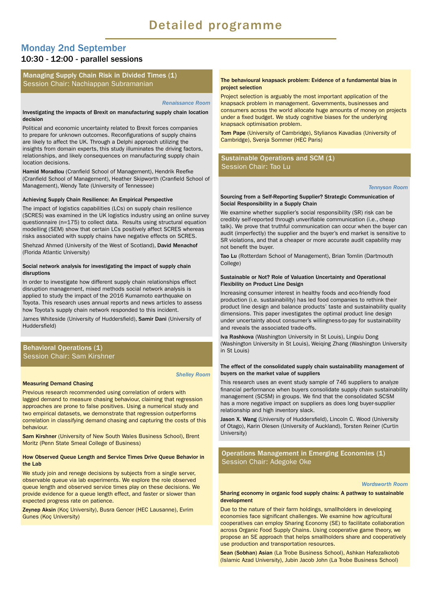# Monday 2nd September 10:30 - 12:00 - parallel sessions

# Managing Supply Chain Risk in Divided Times (1) Session Chair: Nachiappan Subramanian

#### *Renaissance Room*

#### Investigating the impacts of Brexit on manufacturing supply chain location decision

Political and economic uncertainty related to Brexit forces companies to prepare for unknown outcomes. Reconfigurations of supply chains are likely to affect the UK. Through a Delphi approach utilizing the insights from domain experts, this study illuminates the driving factors, relationships, and likely consequences on manufacturing supply chain location decisions.

Hamid Moradlou (Cranfield School of Management), Hendrik Reefke (Cranfield School of Management), Heather Skipworth (Cranfield School of Management), Wendy Tate (University of Tennessee)

#### Achieving Supply Chain Resilience: An Empirical Perspective

The impact of logistics capabilities (LCs) on supply chain resilience (SCRES) was examined in the UK logistics industry using an online survey questionnaire (n=175) to collect data. Results using structural equation modelling (SEM) show that certain LCs positively affect SCRES whereas risks associated with supply chains have negative effects on SCRES.

Shehzad Ahmed (University of the West of Scotland), David Menachof (Florida Atlantic University)

#### Social network analysis for investigating the impact of supply chain disruptions

In order to investigate how different supply chain relationships effect disruption management, mixed methods social network analysis is applied to study the impact of the 2016 Kumamoto earthquake on Toyota. This research uses annual reports and news articles to assess how Toyota's supply chain network responded to this incident.

James Whiteside (University of Huddersfield), Samir Dani (University of Huddersfield)

## Behavioral Operations (1) Session Chair: Sam Kirshner

#### *Shelley Room*

#### Measuring Demand Chasing

Previous research recommended using correlation of orders with lagged demand to measure chasing behaviour, claiming that regression approaches are prone to false positives. Using a numerical study and two empirical datasets, we demonstrate that regression outperforms correlation in classifying demand chasing and capturing the costs of this behaviour.

Sam Kirshner (University of New South Wales Business School), Brent Moritz (Penn State Smeal College of Business)

#### How Observed Queue Length and Service Times Drive Queue Behavior in the Lab

We study join and renege decisions by subjects from a single server, observable queue via lab experiments. We explore the role observed queue length and observed service times play on these decisions. We provide evidence for a queue length effect, and faster or slower than expected progress rate on patience.

Zeynep Aksin (Koç University), Busra Gencer (HEC Lausanne), Evrim Gunes (Koç University)

#### The behavioural knapsack problem: Evidence of a fundamental bias in project selection

Project selection is arguably the most important application of the knapsack problem in management. Governments, businesses and consumers across the world allocate huge amounts of money on projects under a fixed budget. We study cognitive biases for the underlying knapsack optimisation problem.

Tom Pape (University of Cambridge), Stylianos Kavadias (University of Cambridge), Svenja Sommer (HEC Paris)

## Sustainable Operations and SCM (1) Session Chair: Tao Lu

#### *Tennyson Room*

#### Sourcing from a Self-Reporting Supplier? Strategic Communication of Social Responsibility in a Supply Chain

We examine whether supplier's social responsibility (SR) risk can be credibly self-reported through unverifiable communication (i.e., cheap talk). We prove that truthful communication can occur when the buyer can audit (imperfectly) the supplier and the buyer's end market is sensitive to SR violations, and that a cheaper or more accurate audit capability may not benefit the buyer.

Tao Lu (Rotterdam School of Management), Brian Tomlin (Dartmouth College)

#### Sustainable or Not? Role of Valuation Uncertainty and Operational Flexibility on Product Line Design

Increasing consumer interest in healthy foods and eco-friendly food production (i.e. sustainability) has led food companies to rethink their product line design and balance products' taste and sustainability quality dimensions. This paper investigates the optimal product line design under uncertainty about consumer's willingness-to-pay for sustainability and reveals the associated trade-offs.

Iva Rashkova (Washington University in St Louis), Lingxiu Dong (Washington University in St Louis), Weiqing Zhang (Washington University in St Louis)

#### The effect of the consolidated supply chain sustainability management of buyers on the market value of suppliers

This research uses an event study sample of 746 suppliers to analyze financial performance when buyers consolidate supply chain sustainability management (SCSM) in groups. We find that the consolidated SCSM has a more negative impact on suppliers as does long buyer-supplier relationship and high inventory slack.

Jason X. Wang (University of Huddersfield), Lincoln C. Wood (University of Otago), Karin Olesen (University of Auckland), Torsten Reiner (Curtin University)

Operations Management in Emerging Economies (1) Session Chair: Adegoke Oke

#### *Wordsworth Room*

#### Sharing economy in organic food supply chains: A pathway to sustainable development

Due to the nature of their farm holdings, smallholders in developing economies face significant challenges. We examine how agricultural cooperatives can employ Sharing Economy (SE) to facilitate collaboration across Organic Food Supply Chains. Using cooperative game theory, we propose an SE approach that helps smallholders share and cooperatively use production and transportation resources.

Sean (Sobhan) Asian (La Trobe Business School), Ashkan Hafezalkotob (Islamic Azad University), Jubin Jacob John (La Trobe Business School)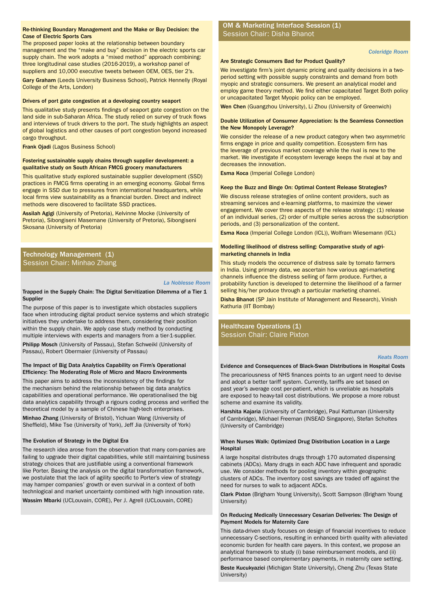#### Re-thinking Boundary Management and the Make or Buy Decision: the Session Chair: Disha Bhanot Case of Flectric Sports Cars Case of Electric Sports Cars

The proposed paper looks at the relationship between boundary management and the "make and buy" decision in the electric sports car supply chain. The work adopts a "mixed method" approach combining: three longitudinal case studies (2016-2019), a workshop panel of suppliers and 10,000 executive tweets between OEM, OES, tier 2's.

Gary Graham (Leeds University Business School), Patrick Hennelly (Royal College of the Arts, London)

#### Drivers of port gate congestion at a developing country seaport

This qualitative study presents findings of seaport gate congestion on the land side in sub-Saharan Africa. The study relied on survey of truck flows and interviews of truck drivers to the port. The study highlights an aspect of global logistics and other causes of port congestion beyond increased cargo throughput.

Frank Ojadi (Lagos Business School)

#### Fostering sustainable supply chains through supplier development: a qualitative study on South African FMCG grocery manufacturers

This qualitative study explored sustainable supplier development (SSD) practices in FMCG firms operating in an emerging economy. Global firms engage in SSD due to pressures from international headquarters, while local firms view sustainability as a financial burden. Direct and indirect methods were discovered to facilitate SSD practices.

Assilah Agigi (University of Pretoria), Kelvinne Mocke (University of Pretoria), Sibongiseni Masemane (University of Pretoria), Sibongiseni Skosana (University of Pretoria)

## Technology Management (1) Session Chair: Minhao Zhang

#### *La Noblesse Room*

#### Trapped in the Supply Chain: The Digital Servitization Dilemma of a Tier 1 Supplier

The purpose of this paper is to investigate which obstacles suppliers face when introducing digital product service systems and which strategic initiatives they undertake to address them, considering their position within the supply chain. We apply case study method by conducting multiple interviews with experts and managers from a tier-1-supplier.

Philipp Mosch (University of Passau), Stefan Schweikl (University of Passau), Robert Obermaier (University of Passau)

#### The Impact of Big Data Analytics Capability on Firm's Operational Efficiency: The Moderating Role of Micro and Macro Environments

This paper aims to address the inconsistency of the findings for the mechanism behind the relationship between big data analytics capabilities and operational performance. We operationalised the big data analytics capability through a rigours coding process and verified the theoretical model by a sample of Chinese high-tech enterprises.

Minhao Zhang (University of Bristol), Yichuan Wang (University of Sheffield), Mike Tse (University of York), Jeff Jia (University of York)

#### The Evolution of Strategy in the Digital Era

The research idea arose from the observation that many com-panies are failing to upgrade their digital capabilities, while still maintaining business strategy choices that are justifiable using a conventional framework like Porter. Basing the analysis on the digital transformation framework, we postulate that the lack of agility specific to Porter's view of strategy may hamper companies' growth or even survival in a context of both technlogical and market uncertainty combined with high innovation rate.

Wassim Mbarki (UCLouvain, CORE), Per J. Agrell (UCLouvain, CORE)

# OM & Marketing Interface Session (1)

*Coleridge Room*

#### Are Strategic Consumers Bad for Product Quality?

We investigate firm's joint dynamic pricing and quality decisions in a twoperiod setting with possible supply constraints and demand from both myopic and strategic consumers. We present an analytical model and employ game theory method. We find either capacitated Target Both policy or uncapacitated Target Myopic policy can be employed.

Wen Chen (Guangzhou University), Li Zhou (University of Greenwich)

#### Double Utilization of Consumer Appreciation: Is the Seamless Connection the New Monopoly Leverage?

We consider the release of a new product category when two asymmetric firms engage in price and quality competition. Ecosystem firm has the leverage of previous market coverage while the rival is new to the market. We investigate if ecosystem leverage keeps the rival at bay and decreases the innovation.

Esma Koca (Imperial College London)

#### Keep the Buzz and Binge On: Optimal Content Release Strategies?

We discuss release strategies of online content providers, such as streaming services and e-learning platforms, to maximize the viewer engagement. We cover three aspects of the release strategy: (1) release of an individual series, (2) order of multiple series across the subscription periods, and (3) personalization of the content.

Esma Koca (Imperial College London (ICL)), Wolfram Wiesemann (ICL)

#### Modelling likelihood of distress selling: Comparative study of agrimarketing channels in India

This study models the occurrence of distress sale by tomato farmers in India. Using primary data, we ascertain how various agri-marketing channels influence the distress selling of farm produce. Further, a probability function is developed to determine the likelihood of a farmer selling his/her produce through a particular marketing channel.

Disha Bhanot (SP Jain Institute of Management and Research), Vinish Kathuria (IIT Bombay)

# Healthcare Operations (1) Session Chair: Claire Pixton

#### *Keats Room*

#### Evidence and Consequences of Black-Swan Distributions in Hospital Costs

The precariousness of NHS finances points to an urgent need to devise and adopt a better tariff system. Currently, tariffs are set based on past year's average cost per-patient, which is unreliable as hospitals are exposed to heavy-tail cost distributions. We propose a more robust scheme and examine its validity.

Harshita Kajaria (University of Cambridge), Paul Kattuman (University of Cambridge), Michael Freeman (INSEAD Singapore), Stefan Scholtes (University of Cambridge)

#### When Nurses Walk: Optimized Drug Distribution Location in a Large **Hospital**

A large hospital distributes drugs through 170 automated dispensing cabinets (ADCs). Many drugs in each ADC have infrequent and sporadic use. We consider methods for pooling inventory within geographic clusters of ADCs. The inventory cost savings are traded off against the need for nurses to walk to adjacent ADCs.

Clark Pixton (Brigham Young University), Scott Sampson (Brigham Young University)

#### On Reducing Medically Unnecessary Cesarian Deliveries: The Design of Payment Models for Maternity Care

This data-driven study focuses on design of financial incentives to reduce unnecessary C-sections, resulting in enhanced birth quality with alleviated economic burden for health care payers. In this context, we propose an analytical framework to study (i) base reimbursement models, and (ii) performance based complementary payments, in maternity care setting.

Beste Kucukyazici (Michigan State University), Cheng Zhu (Texas State University)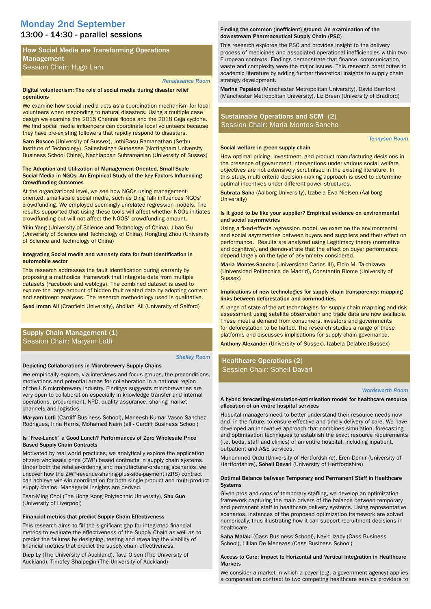# 13:00 - 14:30 - parallel sessions Monday 2nd September

# How Social Media are Transforming Operations Management Session Chair: Hugo Lam

#### *Renaissance Room*

#### Digital volunteerism: The role of social media during disaster relief operations

We examine how social media acts as a coordination mechanism for local volunteers when responding to natural disasters. Using a multiple case design we examine the 2015 Chennai floods and the 2018 Gaja cyclone. We find social media influencers can coordinate local volunteers because they have pre-existing followers that rapidly respond to disasters.

Sam Roscoe (University of Sussex), JothiBasu Ramanathan (Sethu Institute of Technology), Saileshsingh Gunessee (Nottingham University Business School China), Nachiappan Subramanian (University of Sussex)

#### The Adoption and Utilization of Management-Oriented, Small-Scale Social Media in NGOs: An Empirical Study of the key Factors Influencing Crowdfunding Outcomes

At the organizational level, we see how NGOs using managementoriented, small-scale social media, such as Ding Talk influences NGOs' crowdfunding. We employed seemingly unrelated regression models. The results supported that using these tools will affect whether NGOs initiates crowdfunding but will not affect the NGOS' crowdfunding amount.

Yilin Yang (University of Science and Technology of China), Jibao Gu (University of Science and Technology of China), Rongting Zhou (University of Science and Technology of China)

#### Integrating Social media and warranty data for fault identification in automobile sector

This research addresses the fault identification during warranty by proposing a methodical framework that integrate data from multiple datasets (Facebook and weblogs). The combined dataset is used to explore the large amount of hidden fault-related data by adopting content and sentiment analyses. The research methodology used is qualitative.

Syed Imran Ali (Cranfield University), Abdilahi Ali (University of Salford)

# Supply Chain Management (1) Session Chair: Maryam Lotfi

#### *Shelley Room*

#### Depicting Collaborations in Microbrewery Supply Chains

We empirically explore, via interviews and focus groups, the preconditions, motivations and potential areas for collaboration in a national region of the UK microbrewery industry. Findings suggests microbreweries are very open to collaboration especially in knowledge transfer and internal operations, procurement, NPD, quality assurance, sharing market channels and logistics.

Maryam Lotfi (Cardiff Business School), Maneesh Kumar Vasco Sanchez Rodrigues, Irina Harris, Mohamed Naim (all - Cardiff Business School)

#### Is "Free-Lunch" a Good Lunch? Performances of Zero Wholesale Price Based Supply Chain Contracts

Motivated by real world practices, we analytically explore the application of zero wholesale price (ZWP) based contracts in supply chain systems. Under both the retailer-ordering and manufacturer-ordering scenarios, we uncover how the ZWP-revenue-sharing-plus-side-payment (ZRS) contract can achieve win-win coordination for both single-product and multi-product supply chains. Managerial insights are derived.

Tsan-Ming Choi (The Hong Kong Polytechnic University), Shu Guo (University of Liverpool)

#### Financial metrics that predict Supply Chain Effectiveness

This research aims to fill the significant gap for integrated financial metrics to evaluate the effectiveness of the Supply Chain as well as to predict the failures by designing, testing and revealing the viability of financial metrics that predict the supply chain effectiveness.

Diep Ly (The University of Auckland), Tava Olsen (The University of Auckland), Timofey Shalpegin (The University of Auckland)

#### Finding the common (inefficient) ground: An examination of the downstream Pharmaceutical Supply Chain (PSC)

This research explores the PSC and provides insight to the delivery process of medicines and associated operational inefficiencies within two European contexts. Findings demonstrate that finance, communication, waste and complexity were the major issues. This research contributes to academic literature by adding further theoretical insights to supply chain strategy development.

Marina Papalexi (Manchester Metropolitan University), David Bamford (Manchester Metropolitan University), Liz Breen (University of Bradford)

# Sustainable Operations and SCM (2) Session Chair: Maria Montes-Sancho

Social welfare in green supply chain

*Tennyson Room*

How optimal pricing, investment, and product manufacturing decisions in the presence of government interventions under various social welfare objectives are not extensively scrutinised in the existing literature. In this study, multi criteria decision-making approach is used to determine optimal incentives under different power structures.

Subrata Saha (Aalborg University), Izabela Ewa Nielsen (Aal-borg University)

#### Is it good to be like your supplier? Empirical evidence on environmental and social asymmetries

Using a fixed-effects regression model, we examine the environmental and social asymmetries between buyers and suppliers and their effect on performance. Results are analyzed using Legitimacy theory (normative and cognitive), and demon-strate that the effect on buyer performance depend largely on the type of asymmetry considered.

Maria Montes-Sancho (Universidad Carlos III), Elcio M. Ta-chizawa (Universidad Politecnica de Madrid), Constantin Blome (University of Sussex)

#### Implications of new technologies for supply chain transparency: mapping links between deforestation and commodities.

A range of state-of-the-art technologies for supply chain map-ping and risk assessment using satellite observation and trade data are now available. These meet a demand from consumers, investors and governments for deforestation to be halted. The research studies a range of these platforms and discusses implications for supply chain governance.

Anthony Alexander (University of Sussex), Izabela Delabre (Sussex)

# Healthcare Operations (2) Session Chair: Soheil Davari

#### *Wordsworth Room*

A hybrid forecasting-simulation-optimisation model for healthcare resource allocation of an entire hospital services

Hospital managers need to better understand their resource needs now and, in the future, to ensure effective and timely delivery of care. We have developed an innovative approach that combines simulation, forecasting and optimisation techniques to establish the exact resource requirements (i.e. beds, staff and clinics) of an entire hospital, including inpatient, outpatient and A&E services.

Muhammed Ordu (University of Hertfordshire), Eren Demir (University of Hertfordshire), Soheil Davari (University of Hertfordshire)

#### Optimal Balance between Temporary and Permanent Staff in Healthcare Systems

Given pros and cons of temporary staffing, we develop an optimization framework capturing the main drivers of the balance between temporary and permanent staff in healthcare delivery systems. Using representative scenarios, instances of the proposed optimization framework are solved numerically, thus illustrating how it can support recruitment decisions in healthcare.

Saha Malaki (Cass Business School), Navid Izady (Cass Business School), Lillian De Menezes (Cass Business School)

#### Access to Care: Impact to Horizontal and Vertical Integration in Healthcare **Markets**

We consider a market in which a payer (e.g. a government agency) applies a compensation contract to two competing healthcare service providers to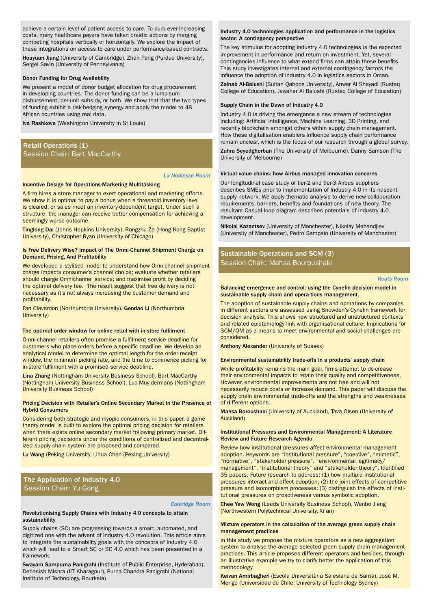achieve a certain level of patient access to care. To curb ever-increasing costs, many healthcare payers have taken drastic actions by merging competing hospitals vertically or horizontally. We explore the impact of these integrations on access to care under performance-based contracts.

Houyuan Jiang (University of Cambridge), Zhan Pang (Purdue University), Sergei Savin (University of Pennsylvania)

#### Donor Funding for Drug Availability

We present a model of donor budget allocation for drug procurement in developing countries. The donor funding can be a lump-sum disbursement, per-unit subsidy, or both. We show that that the two types of funding exhibit a risk-hedging synergy and apply the model to 48 African countries using real data.

Iva Rashkova (Washington University in St Louis)

# Retail Operations (1) Session Chair: Bart MacCarthy

#### *La Noblesse Room*

#### Incentive Design for Operations-Marketing Multitasking

A firm hires a store manager to exert operational and marketing efforts. We show it is optimal to pay a bonus when a threshold inventory level is cleared, or sales meet an inventory-dependent target. Under such a structure, the manager can receive better compensation for achieving a seemingly worse outcome.

Tinglong Dai (Johns Hopkins University), Rongzhu Ze (Hong Kong Baptist University), Christopher Ryan (University of Chicago)

#### Is Free Delivery Wise? Impact of The Omni-Channel Shipment Charge on Demand, Pricing, And Profitability

We developed a stylised model to understand how Omnichannel shipment charge impacts consumer's channel choice; evaluate whether retailers should charge Omnichannel service; and maximise profit by deciding the optimal delivery fee. The result suggest that free delivery is not necessary as it's not always increasing the customer demand and profitability.

Fan Cleverdon (Northumbria University), Gendao Li (Northumbria University)

#### The optimal order window for online retail with in-store fulfilment

Omni-channel retailers often promise a fulfilment service deadline for customers who place orders before a specific deadline. We develop an analytical model to determine the optimal length for the order receipt window, the minimum picking rate, and the time to commence picking for in-store fulfilment with a promised service deadline.

Lina Zhang (Nottingham University Business School), Bart MacCarthy (Nottingham University Business School), Luc Muyldermans (Nottingham University Business School)

#### Pricing Decision with Retailer's Online Secondary Market in the Presence of Hybrid Consumers

Considering both strategic and myopic consumers, in this paper, a game theory model is built to explore the optimal pricing decision for retailers when there exists online secondary market following primary market. Different pricing decisions under the conditions of centralized and decentralized supply chain system are proposed and compared.

Lu Wang (Peking University, Lihua Chen (Peking University)

# The Application of Industry 4.0 Session Chair: Yu Gong

#### *Coleridge Room*

Revolutionising Supply Chains with Industry 4.0 concepts to attain sustainability

Supply chains (SC) are progressing towards a smart, automated, and digitized one with the advent of Industry 4.0 revolution. This article aims to integrate the sustainability goals with the concepts of Industry 4.0 which will lead to a Smart SC or SC 4.0 which has been presented in a framework.

Swayam Sampurna Panigrahi (Institute of Public Enterprise, Hyderabad), Debasish Mishra (IIT Kharagpur), Purna Chandra Panigrahi (National Institute of Technology, Rourkela)

#### Industry 4.0 technologies application and performance in the logistics sector: A contingency perspective

The key stimulus for adopting industry 4.0 technologies is the expected improvement in performance and return on investment. Yet, several contingencies influence to what extend firms can attain these benefits. This study investigates internal and external contingency factors the influence the adoption of industry 4.0 in logistics sectors in Oman.

Zainab Al-Balushi (Sultan Qaboos University), Anwar Al Sheyadi (Rustaq College of Education), Jawaher Al Balushi (Rustaq College of Education)

#### Supply Chain in the Dawn of Industry 4.0

Industry 4.0 is driving the emergence a new stream of technologies including: Artificial intelligence, Machine Learning, 3D Printing, and recently blockchain amongst others within supply chain management. How these digitalisation enablers influence supply chain performance remain unclear, which is the focus of our research through a global survey.

Zahra Seyedghorban (The University of Melbourne), Danny Samson (The University of Melbourne)

#### Virtual value chains: how Airbus managed innovation concerns

Our longitudinal case study of tier-2 and tier-3 Airbus suppliers describes SMEs prior to implementation of Industry 4.0 in its nascent supply network. We apply thematic analysis to derive new collaboration requirements, barriers, benefits and foundations of new theory. The resultant Casual loop diagram describes potentials of Industry 4.0 development.

Nikolai Kazantsev (University of Manchester), Nikolay Mehandjiev (University of Manchester), Pedro Sampaio (University of Manchester)

Sustainable Operations and SCM (3) Session Chair: Mahsa Bouroushaki

*Keats Room* 

#### Balancing emergence and control: using the Cynefin decision model in sustainable supply chain and opera-tions management.

The adoption of sustainable supply chains and operations by companies in different sectors are assessed using Snowden's Cynefin framework for decision analysis. This shows how structured and unstructured contexts and related epistemology link with organisational culture. Implications for SCM/OM as a means to meet environmental and social challenges are considered.

Anthony Alexander (University of Sussex)

#### Environmental sustainability trade-offs in a products' supply chain

While profitability remains the main goal, firms attempt to de-crease their environmental impacts to retain their quality and competitiveness. However, environmental improvements are not free and will not necessarily reduce costs or increase demand. This paper will discuss the supply chain environmental trade-offs and the strengths and weaknesses of different options.

Mahsa Boroushaki (University of Auckland), Tava Olsen (University of Auckland)

#### Institutional Pressures and Environmental Management: A Literature Review and Future Research Agenda

Review how institutional pressures affect environmental management adoption. Keywords are "institutional pressure", "coercive", "mimetic", "normative", "stakeholder pressure", "envi-ronmental legitimacy/ management", "institutional theory" and "stakeholder theory". Identified 35 papers. Future research to address: (1) how multiple institutional pressures interact and affect adoption; (2) the joint effects of competitive pressure and isomorphism processes; (3) distinguish the effects of institutional pressures on proactiveness versus symbolic adoption.

Chee Yew Wong (Leeds University Business School), Wenbo Jiang (Northwestern Polytechnical University, Xi'an)

#### Mixture operators in the calculation of the average green supply chain management practices

In this study we propose the mixture operators as a new aggregation system to analyse the average selected green supply chain management practices. This article proposes different operators and besides, through an illustrative example we try to clarify better the application of this methodology.

Keivan Amirbagheri (Escola Universitària Salesiana de Sarrià), José M. Merigó (Universidad de Chile, University of Technology Sydney)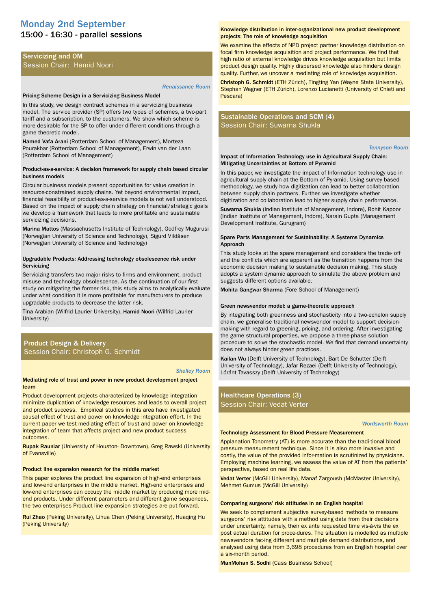# 15:00 - 16:30 - parallel sessions Monday 2nd September

# Servicizing and OM Session Chair: Hamid Noori

#### *Renaissance Room*

#### Pricing Scheme Design in a Servicizing Business Model

In this study, we design contract schemes in a servicizing business model. The service provider (SP) offers two types of schemes, a two-part tariff and a subscription, to the customers. We show which scheme is more desirable for the SP to offer under different conditions through a game theoretic model.

Hamed Vafa Arani (Rotterdam School of Management), Morteza Pourakbar (Rotterdam School of Management), Erwin van der Laan (Rotterdam School of Management)

#### Product-as-a-service: A decision framework for supply chain based circular business models

Circular business models present opportunities for value creation in resource-constrained supply chains. Yet beyond environmental impact, financial feasibility of product-as-a-service models is not well understood. Based on the impact of supply chain strategy on financial/strategic goals we develop a framework that leads to more profitable and sustainable servicizing decisions.

Marina Mattos (Massachusetts Institute of Technology), Godfrey Mugurusi (Norwegian University of Science and Technology), Sigurd Vildåsen (Norwegian University of Science and Technology)

#### Upgradable Products: Addressing technology obsolescence risk under **Servicizing**

Servicizing transfers two major risks to firms and environment, product misuse and technology obsolescence. As the continuation of our first study on mitigating the former risk, this study aims to analytically evaluate under what condition it is more profitable for manufacturers to produce upgradable products to decrease the latter risk.

Tina Arabian (Wilfrid Laurier University), Hamid Noori (Wilfrid Laurier University)

# Product Design & Delivery Session Chair: Christoph G. Schmidt

#### *Shelley Room*

#### Mediating role of trust and power in new product development project team

Product development projects characterized by knowledge integration minimize duplication of knowledge resources and leads to overall project and product success. Empirical studies in this area have investigated causal effect of trust and power on knowledge integration effort. In the current paper we test mediating effect of trust and power on knowledge integration of team that affects project and new product success outcomes.

Rupak Rauniar (University of Houston- Downtown), Greg Rawski (University of Evansville)

#### Product line expansion research for the middle market

This paper explores the product line expansion of high-end enterprises and low-end enterprises in the middle market. High-end enterprises and low-end enterprises can occupy the middle market by producing more midend products. Under different parameters and different game sequences, the two enterprises Product line expansion strategies are put forward.

Rui Zhao (Peking University), Lihua Chen (Peking University), Huaqing Hu (Peking University)

#### Knowledge distribution in inter-organizational new product development projects: The role of knowledge acquisition

We examine the effects of NPD project partner knowledge distribution on focal firm knowledge acquisition and project performance. We find that high ratio of external knowledge drives knowledge acquisition but limits product design quality. Highly dispersed knowledge also hinders design quality. Further, we uncover a mediating role of knowledge acquisition.

Christoph G. Schmidt (ETH Zürich), Tingting Yan (Wayne State University), Stephan Wagner (ETH Zürich), Lorenzo Lucianetti (University of Chieti and Pescara)

# Sustainable Operations and SCM (4) Session Chair: Suwarna Shukla

#### *Tennyson Room*

#### Impact of Information Technology use in Agricultural Supply Chain: Mitigating Uncertainties at Bottom of Pyramid

In this paper, we investigate the impact of Information technology use in agricultural supply chain at the Bottom of Pyramid. Using survey based methodology, we study how digitization can lead to better collaboration between supply chain partners. Further, we investigate whether digitization and collaboration lead to higher supply chain performance.

Suwarna Shukla (Indian Institute of Management, Indore), Rohit Kapoor (Indian Institute of Management, Indore), Narain Gupta (Management Development Institute, Gurugram)

#### Spare Parts Management for Sustainability: A Systems Dynamics Approach

This study looks at the spare management and considers the trade- off and the conflicts which are apparent as the transition happens from the economic decision making to sustainable decision making. This study adopts a system dynamic approach to simulate the above problem and suggests different options available.

Mohita Gangwar Sharma (Fore School of Management)

#### Green newsvendor model: a game-theoretic approach

By integrating both greenness and stochasticity into a two-echelon supply chain, we generalise traditional newsvendor model to support decisionmaking with regard to greening, pricing, and ordering. After investigating the game structural properties, we propose a three-phase solution procedure to solve the stochastic model. We find that demand uncertainty does not always hinder green practices.

Kailan Wu (Delft University of Technology), Bart De Schutter (Delft University of Technology), Jafar Rezaei (Delft University of Technology), Lóránt Tavasszy (Delft University of Technology)

# Healthcare Operations (3) Session Chair: Vedat Verter

#### *Wordsworth Room*

#### Technology Assessment for Blood Pressure Measurement

Applanation Tonometry (AT) is more accurate than the tradi-tional blood pressure measurement technique. Since it is also more invasive and costly, the value of the provided infor-mation is scrutinized by physicians. Employing machine learning, we assess the value of AT from the patients' perspective, based on real life data.

Vedat Verter (McGill University), Manaf Zargoush (McMaster University), Mehmet Gumus (McGill University)

#### Comparing surgeons' risk attitudes in an English hospital

We seek to complement subjective survey-based methods to measure surgeons' risk attitudes with a method using data from their decisions under uncertainty, namely, their ex ante requested time vis-à-vis the ex post actual duration for proce-dures. The situation is modelled as multiple newsvendors fac-ing different and multiple demand distributions, and analysed using data from 3,698 procedures from an English hospital over a six-month period.

ManMohan S. Sodhi (Cass Business School)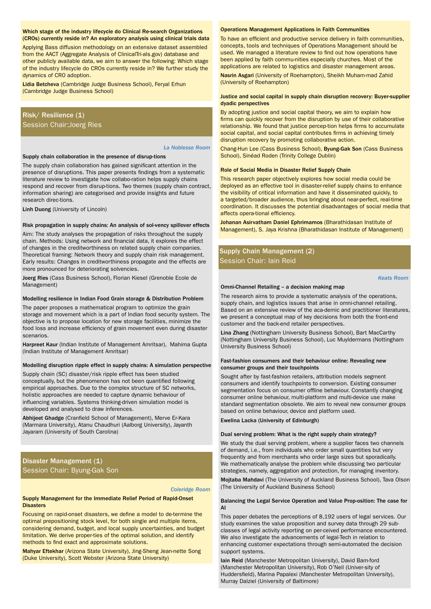#### Which stage of the industry lifecycle do Clinical Re-search Organizations (CROs) currently reside in? An exploratory analysis using clinical trials data

Applying Bass diffusion methodology on an extensive dataset assembled from the AACT (Aggregate Analysis of ClinicalTri-als.gov) database and other publicly available data, we aim to answer the following: Which stage of the industry lifecycle do CROs currently reside in? We further study the dynamics of CRO adoption.

Lidia Betcheva (Cambridge Judge Business School), Feryal Erhun (Cambridge Judge Business School)

# Risk/ Resilience (1) Session Chair:Joerg Ries

#### *La Noblesse Room*

#### Supply chain collaboration in the presence of disrup-tions

The supply chain collaboration has gained significant attention in the presence of disruptions. This paper presents findings from a systematic literature review to investigate how collabo-ration helps supply chains respond and recover from disrup-tions. Two themes (supply chain contract, information sharing) are categorised and provide insights and future research direc-tions.

Linh Duong (University of Lincoln)

#### Risk propagation in supply chains: An analysis of sol-vency spillover effects

Aim: The study analyses the propagation of risks throughout the supply chain. Methods: Using network and financial data, it explores the effect of changes in the creditworthiness on related supply chain companies. Theoretical framing: Network theory and supply chain risk management. Early results: Changes in creditworthiness propagate and the effects are more pronounced for deteriorating solvencies.

Joerg Ries (Cass Business School), Florian Kiesel (Grenoble Ecole de Management)

# Modelling resilience in Indian Food Grain storage & Distribution Problem

The paper proposes a mathematical program to optimize the grain storage and movement which is a part of Indian food security system. The objective is to propose location for new storage facilities, minimize the food loss and increase efficiency of grain movement even during disaster scenarios.

Harpreet Kaur (Indian Institute of Management Amritsar), Mahima Gupta (Indian Institute of Management Amritsar)

#### Modelling disruption ripple effect in supply chains: A simulation perspective

Supply chain (SC) disaster/risk ripple effect has been studied conceptually, but the phenomenon has not been quantified following empirical approaches. Due to the complex structure of SC networks, holistic approaches are needed to capture dynamic behaviour of influencing variables. Systems thinking-driven simulation model is developed and analysed to draw inferences.

Abhijeet Ghadge (Cranfield School of Management), Merve Er-Kara (Marmara University), Atanu Chaudhuri (Aalborg University), Jayanth Jayaram (University of South Carolina)

Disaster Management (1) Session Chair: Byung-Gak Son

#### *Coleridge Room*

#### Supply Management for the Immediate Relief Period of Rapid-Onset **Disasters**

Focusing on rapid-onset disasters, we define a model to de-termine the optimal prepositioning stock level, for both single and multiple items, considering demand, budget, and local supply uncertainties, and budget limitation. We derive proper-ties of the optimal solution, and identify methods to find exact and approximate solutions.

Mahyar Eftekhar (Arizona State University), Jing-Sheng Jean-nette Song (Duke University), Scott Webster (Arizona State University)

#### Operations Management Applications in Faith Communities

To have an efficient and productive service delivery in faith communities, concepts, tools and techniques of Operations Management should be used. We managed a literature review to find out how operations have been applied by faith commu-nities especially churches. Most of the applications are related to logistics and disaster management areas.

Nasrin Asgari (University of Roehampton), Sheikh Muham-mad Zahid (University of Roehampton)

#### Justice and social capital in supply chain disruption recovery: Buyer-supplier dyadic perspectives

By adopting justice and social capital theory, we aim to explain how firms can quickly recover from the disruption by use of their collaborative relationship. We found that justice percep-tion helps firms to accumulate social capital, and social capital contributes firms in achieving timely disruption recovery by promoting collaborative action.

Chang-Hun Lee (Cass Business School), Byung-Gak Son (Cass Business School), Sinéad Roden (Trinity College Dublin)

#### Role of Social Media in Disaster Relief Supply Chain

This research paper objectively explores how social media could be deployed as an effective tool in disaster-relief supply chains to enhance the visibility of critical information and have it disseminated quickly, to a targeted/broader audience, thus bringing about near-perfect, real-time coordination. It discusses the potential disadvantages of social media that affects opera-tional efficiency.

Johanan Asirvatham Daniel Ephrimamos (Bharathidasan Institute of Management), S. Jaya Krishna (Bharathidasan Institute of Management)

# Supply Chain Management (2) Session Chair: Iain Reid

#### *Keats Room*

#### Omni-Channel Retailing – a decision making map

The research aims to provide a systematic analysis of the operations, supply chain, and logistics issues that arise in omni-channel retailing. Based on an extensive review of the aca-demic and practitioner literatures, we present a conceptual map of key decisions from both the front-end customer and the back-end retailer perspectives.

Lina Zhang (Nottingham University Business School), Bart MacCarthy (Nottingham University Business School), Luc Muyldermans (Nottingham University Business School)

#### Fast-fashion consumers and their behaviour online: Revealing new consumer groups and their touchpoints

Sought after by fast-fashion retailers, attribution models segment consumers and identify touchpoints to conversion. Existing consumer segmentation focus on consumer offline behaviour. Constantly changing consumer online behaviour, multi-platform and multi-device use make standard segmentation obsolete. We aim to reveal new consumer groups based on online behaviour, device and platform used.

Ewelina Lacka (University of Edinburgh)

#### Dual serving problem: What is the right supply chain strategy?

We study the dual serving problem, where a supplier faces two channels of demand, i.e., from individuals who order small quantities but very frequently and from merchants who order large sizes but sporadically. We mathematically analyse the problem while discussing two particular strategies, namely, aggregation and protection, for managing inventory.

Mojtaba Mahdavi (The University of Auckland Business School), Tava Olson (The University of Auckland Business School)

#### Balancing the Legal Service Operation and Value Prop-osition: The case for AI

This paper debates the perceptions of 8,192 users of legal services. Our study examines the value proposition and survey data through 29 subclasses of legal activity reporting on per-ceived performance encountered. We also investigate the advancements of legal-Tech in relation to enhancing customer expectations through semi-automated the decision support systems.

Iain Reid (Manchester Metropolitan University), David Bam-ford (Manchester Metropolitan University), Rob O'Neil (Univer-sity of Huddersfield), Marina Papalexi (Manchester Metropolitan University), Murray Dalziel (University of Baltimore)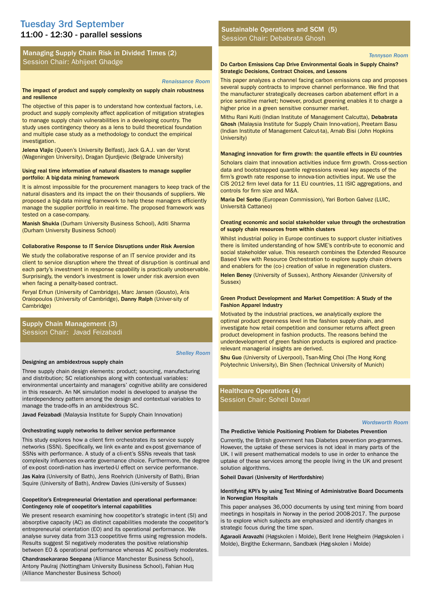# 11:00 - 12:30 - parallel sessions Tuesday 3rd September

# Managing Supply Chain Risk in Divided Times (2) Session Chair: Abhijeet Ghadge

#### *Renaissance Room*

#### The impact of product and supply complexity on supply chain robustness and resilience

The objective of this paper is to understand how contextual factors, i.e. product and supply complexity affect application of mitigation strategies to manage supply chain vulnerabilities in a developing country. The study uses contingency theory as a lens to build theoretical foundation and multiple case study as a methodology to conduct the empirical investigation.

Jelena Vlajic (Queen's University Belfast), Jack G.A.J. van der Vorst (Wageningen University), Dragan Djurdjevic (Belgrade University)

#### Using real time information of natural disasters to manage supplier portfolio: A big-data mining framework

It is almost impossible for the procurement managers to keep track of the natural disasters and its impact the on their thousands of suppliers. We proposed a big-data mining framework to help these managers efficiently manage the supplier portfolio in real-time. The proposed framework was tested on a case-company.

Manish Shukla (Durham University Business School), Aditi Sharma (Durham University Business School)

#### Collaborative Response to IT Service Disruptions under Risk Aversion

We study the collaborative response of an IT service provider and its client to service disruption where the threat of disrup-tion is continual and each party's investment in response capability is practically unobservable. Surprisingly, the vendor's investment is lower under risk aversion even when facing a penalty-based contract.

Feryal Erhun (University of Cambridge), Marc Jansen (Gousto), Aris Oraiopoulos (University of Cambridge), Danny Ralph (Univer-sity of Cambridge)

# Supply Chain Management (3) Session Chair: Javad Feizabadi

#### *Shelley Room*

#### Designing an ambidextrous supply chain

Three supply chain design elements: product; sourcing, manufacturing and distribution; SC relationships along with contextual variables: environmental uncertainty and managers' cognitive ability are considered in this research. An NK simulation model is developed to analyse the interdependency pattern among the design and contextual variables to manage the trade-offs in an ambidextrous SC.

Javad Feizabadi (Malaysia Institute for Supply Chain Innovation)

#### Orchestrating supply networks to deliver service performance

This study explores how a client firm orchestrates its service supply networks (SSN). Specifically, we link ex-ante and ex-post governance of SSNs with performance. A study of a cli-ent's SSNs reveals that task complexity influences ex-ante governance choice. Furthermore, the degree of ex-post coordi-nation has inverted-U effect on service performance.

Jas Kalra (University of Bath), Jens Roehrich (University of Bath), Brian Squire (University of Bath), Andrew Davies (Uni-versity of Sussex)

#### Coopetitor's Entrepreneurial Orientation and operational performance: Contingency role of coopetitor's internal capabilities

We present research examining how coopetitor's strategic in-tent (SI) and absorptive capacity (AC) as distinct capabilities moderate the coopetitor's entrepreneurial orientation (EO) and its operational performance. We analyse survey data from 313 coopetitive firms using regression models. Results suggest SI negatively moderates the positive relationship between EO & operational performance whereas AC positively moderates.

Chandrasekararao Seepana (Alliance Manchester Business School), Antony Paulraj (Nottingham University Business School), Fahian Huq (Alliance Manchester Business School)

Sustainable Operations and SCM (5) Session Chair: Debabrata Ghosh

#### *Tennyson Room*

#### Do Carbon Emissions Cap Drive Environmental Goals in Supply Chains? Strategic Decisions, Contract Choices, and Lessons

This paper analyzes a channel facing carbon emissions cap and proposes several supply contracts to improve channel performance. We find that the manufacturer strategically decreases carbon abatement effort in a price sensitive market; however, product greening enables it to charge a higher price in a green sensitive consumer market.

Mithu Rani Kuiti (Indian Institute of Management Calcutta), Debabrata Ghosh (Malaysia Institute for Supply Chain Inno-vation), Preetam Basu (Indian Institute of Management Calcut-ta), Arnab Bisi (John Hopkins University)

#### Managing innovation for firm growth: the quantile effects in EU countries

Scholars claim that innovation activities induce firm growth. Cross-section data and bootstrapped quantile regressions reveal key aspects of the firm's growth rate response to innova-tion activities input. We use the CIS 2012 firm level data for 11 EU countries, 11 ISIC aggregations, and controls for firm size and M&A.

Maria Del Sorbo (European Commission), Yari Borbon Galvez (LUIC, Università Cattaneo)

#### Creating economic and social stakeholder value through the orchestration of supply chain resources from within clusters

Whilst industrial policy in Europe continues to support cluster initiatives there is limited understanding of how SME's contrib-ute to economic and social stakeholder value. This research combines the Extended Resource Based View with Resource Orchestration to explore supply chain drivers and enablers for the (co-) creation of value in regeneration clusters.

Helen Beney (University of Sussex), Anthony Alexander (University of Sussex)

#### Green Product Development and Market Competition: A Study of the Fashion Apparel Industry

Motivated by the industrial practices, we analytically explore the optimal product greenness level in the fashion supply chain, and investigate how retail competition and consumer returns affect green product development in fashion products. The reasons behind the underdevelopment of green fashion products is explored and practicerelevant managerial insights are derived.

Shu Guo (University of Liverpool), Tsan-Ming Choi (The Hong Kong Polytechnic University), Bin Shen (Technical University of Munich)

# Healthcare Operations (4) Session Chair: Soheil Davari

#### *Wordsworth Room*

#### The Predictive Vehicle Positioning Problem for Diabetes Prevention

Currently, the British government has Diabetes prevention pro-grammes. However, the uptake of these services is not ideal in many parts of the UK. I will present mathematical models to use in order to enhance the uptake of these services among the people living in the UK and present solution algorithms.

Soheil Davari (University of Hertfordshire)

#### Identifying KPI's by using Text Mining of Administrative Board Documents in Norwegian Hospitals

This paper analyses 36,000 documents by using text mining from board meetings in hospitals in Norway in the period 2008-2017. The purpose is to explore which subjects are emphasized and identify changes in strategic focus during the time span.

Agaraoli Aravazhi (Høgskolen i Molde), Berit Irene Helgheim (Høgskolen i Molde), Birgithe Eckermann, Sandbæk (Høg-skolen i Molde)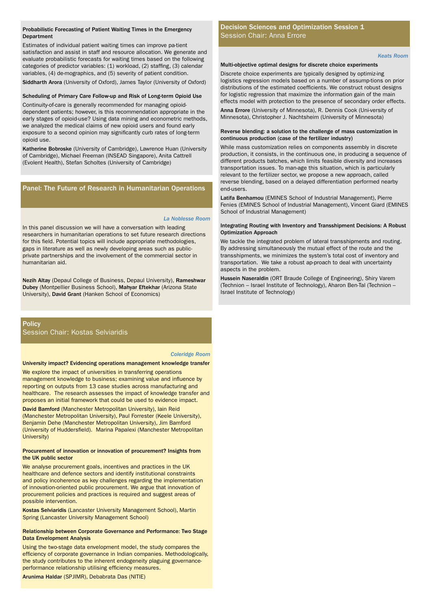#### Probabilistic Forecasting of Patient Waiting Times in the Emergency Department

Estimates of individual patient waiting times can improve pa-tient satisfaction and assist in staff and resource allocation. We generate and evaluate probabilistic forecasts for waiting times based on the following categories of predictor variables: (1) workload, (2) staffing, (3) calendar variables, (4) de-mographics, and (5) severity of patient condition. Siddharth Arora (University of Oxford), James Taylor (University of Oxford)

#### Scheduling of Primary Care Follow-up and Risk of Long-term Opioid Use

Continuity-of-care is generally recommended for managing opioiddependent patients; however, is this recommendation appropriate in the early stages of opioid-use? Using data mining and econometric methods, we analyzed the medical claims of new opioid users and found early exposure to a second opinion may significantly curb rates of long-term opioid use.

Katherine Bobroske (University of Cambridge), Lawrence Huan (University of Cambridge), Michael Freeman (INSEAD Singapore), Anita Cattrell (Evolent Health), Stefan Scholtes (University of Cambridge)

# Panel: The Future of Research in Humanitarian Operations

#### *La Noblesse Room*

In this panel discussion we will have a conversation with leading researchers in humanitarian operations to set future research directions for this field. Potential topics will include appropriate methodologies, gaps in literature as well as newly developing areas such as publicprivate partnerships and the involvement of the commercial sector in humanitarian aid.

Nezih Altay (Depaul College of Business, Depaul University), Rameshwar Dubey (Montpellier Business School), Mahyar Eftekhar (Arizona State University), David Grant (Hanken School of Economics)

**Policy** 

Session Chair: Kostas Selviaridis

#### *Coleridge Room*

#### University impact? Evidencing operations management knowledge transfer

We explore the impact of universities in transferring operations management knowledge to business; examining value and influence by reporting on outputs from 13 case studies across manufacturing and healthcare. The research assesses the impact of knowledge transfer and proposes an initial framework that could be used to evidence impact.

David Bamford (Manchester Metropolitan University), Iain Reid (Manchester Metropolitan University), Paul Forrester (Keele University), Benjamin Dehe (Manchester Metropolitan University), Jim Bamford (University of Huddersfield). Marina Papalexi (Manchester Metropolitan University)

#### Procurement of innovation or innovation of procurement? Insights from the UK public sector

We analyse procurement goals, incentives and practices in the UK healthcare and defence sectors and identify institutional constraints and policy incoherence as key challenges regarding the implementation of innovation-oriented public procurement. We argue that innovation of procurement policies and practices is required and suggest areas of possible intervention.

Kostas Selviaridis (Lancaster University Management School), Martin Spring (Lancaster University Management School)

#### Relationship between Corporate Governance and Performance: Two Stage Data Envelopment Analysis

Using the two-stage data envelopment model, the study compares the efficiency of corporate governance in Indian companies. Methodologically, the study contributes to the inherent endogeneity plaguing governanceperformance relationship utilising efficiency measures.

Arunima Haldar (SPJIMR), Debabrata Das (NITIE)

# Decision Sciences and Optimization Session 1 Session Chair: Anna Errore

*Keats Room*

#### Multi-objective optimal designs for discrete choice experiments

Discrete choice experiments are typically designed by optimiz-ing logistics regression models based on a number of assump-tions on prior distributions of the estimated coefficients. We construct robust designs for logistic regression that maximize the information gain of the main effects model with protection to the presence of secondary order effects. Anna Errore (University of Minnesota), R. Dennis Cook (Uni-versity of Minnesota), Christopher J. Nachtsheim (University of Minnesota)

#### Reverse blending: a solution to the challenge of mass customization in continuous production (case of the fertilizer industry)

While mass customization relies on components assembly in discrete production, it consists, in the continuous one, in producing a sequence of different products batches, which limits feasible diversity and increases transportation issues. To man-age this situation, which is particularly relevant to the fertilizer sector, we propose a new approach, called reverse blending, based on a delayed differentiation performed nearby end-users.

Latifa Benhamou (EMINES School of Industrial Management), Pierre Fenies (EMINES School of Industrial Management), Vincent Giard (EMINES School of Industrial Management)

#### Integrating Routing with Inventory and Transshipment Decisions: A Robust Optimization Approach

We tackle the integrated problem of lateral transshipments and routing. By addressing simultaneously the mutual effect of the route and the transshipments, we minimizes the system's total cost of inventory and transportation. We take a robust ap-proach to deal with uncertainty aspects in the problem.

Hussein Naseraldin (ORT Braude College of Engineering), Shiry Varem (Technion – Israel Institute of Technology), Aharon Ben-Tal (Technion – Israel Institute of Technology)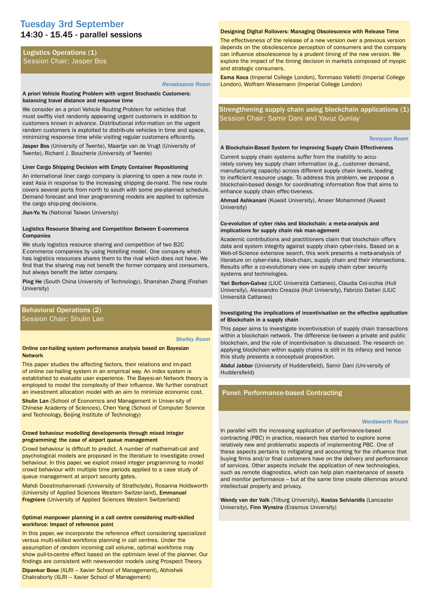# 14:30 - 15.45 - parallel sessions Tuesday 3rd September

## Logistics Operations (1) Session Chair: Jasper Bos

#### *Renaissance Room*

#### A priori Vehicle Routing Problem with urgent Stochastic Customers: balancing travel distance and response time

We consider an a priori Vehicle Routing Problem for vehicles that must swiftly visit randomly appearing urgent customers in addition to customers known in advance. Distributional infor-mation on the urgent random customers is exploited to distrib-ute vehicles in time and space, minimizing response time while visiting regular customers efficiently.

Jasper Bos (University of Twente), Maartje van de Vrugt (University of Twente), Richard J. Boucherie (University of Twente)

#### Liner Cargo Shipping Decision with Empty Container Repositioning

An international liner cargo company is planning to open a new route in east Asia in response to the increasing shipping de-mand. The new route covers several ports from north to south with some pre-planned schedule. Demand forecast and liner programming models are applied to optimize the cargo ship-ping decisions.

Jiun-Yu Yu (National Taiwan University)

#### Logistics Resource Sharing and Competition Between E-commerce Companies

We study logistics resource sharing and competition of two B2C E-commerce companies by using Hotelling model. One compa-ny which has logistics resources shares them to the rival which does not have. We find that the sharing may not benefit the former company and consumers, but always benefit the latter company.

Ping He (South China University of Technology), Shanshan Zhang (Foshan University)

#### Behavioral Operations (2) Session Chair: Shulin Lan

#### *Shelley Room*

#### Online car-hailing system performance analysis based on Bayesian Network

This paper studies the affecting factors, their relations and im-pact of online car-hailing system in an empirical way. An index system is established to evaluate user experience. The Bayesi-an Network theory is employed to model the complexity of their influence. We further construct an investment allocation model with an aim to minimize economic cost.

Shulin Lan (School of Economics and Management in Univer-sity of Chinese Academy of Sciences), Chen Yang (School of Computer Science and Technology, Beijing Institute of Technology)

#### Crowd behaviour modelling developments through mixed integer programming: the case of airport queue management

Crowd behaviour is difficult to predict. A number of mathemati-cal and psychological models are proposed in the literature to investigate crowd behaviour. In this paper, we exploit mixed integer programming to model crowd behaviour with multiple time periods applied to a case study of queue management at airport security gates.

Mahdi Doostmohammadi (University of Strathclyde), Rosanna Holdsworth (University of Applied Sciences Western Switzer-land), Emmanuel Fragniere (University of Applied Sciences Western Switzerland)

#### Optimal manpower planning in a call centre considering multi-skilled workforce: Impact of reference point

In this paper, we incorporate the reference effect considering specialized versus multi-skilled workforce planning in call centres. Under the assumption of random incoming call volume, optimal workforce may show pull-to-centre effect based on the optimism level of the planner. Our findings are consistent with newsvendor models using Prospect Theory.

Dipankar Bose (XLRI – Xavier School of Management), Abhishek Chakraborty (XLRI – Xavier School of Management)

#### Designing Digital Rollovers: Managing Obsolescence with Release Time

The effectiveness of the release of a new version over a previous version depends on the obsolescence perception of consumers and the company can influence obsolescence by a prudent timing of the new version. We explore the impact of the timing decision in markets composed of myopic and strategic consumers.

Esma Koca (Imperial College London), Tommaso Valletti (Imperial College London), Wolfram Wiesemann (Imperial College London)

Strengthening supply chain using blockchain applications (1) Session Chair: Samir Dani and Yavuz Gunlay

#### *Tennyson Room*

#### A Blockchain-Based System for Improving Supply Chain Effectiveness

Current supply chain systems suffer from the inability to accurately convey key supply chain information (e.g., customer demand, manufacturing capacity) across different supply chain levels, leading to inefficient resource usage. To address this problem, we propose a blockchain-based design for coordinating information flow that aims to enhance supply chain effec-tiveness.

Ahmad Ashkanani (Kuwait University), Ameer Mohammed (Kuwait University)

#### Co-evolution of cyber risks and blockchain: a meta-analysis and implications for supply chain risk man-agement

Academic contributions and practitioners claim that blockchain offers data and system integrity against supply chain cyber-risks. Based on a Web-of-Science extensive search, this work presents a meta-analysis of literature on cyber-risks, block-chain, supply chain and their intersections. Results offer a co-evolutionary view on supply chain cyber security systems and technologies.

Yari Borbon-Galvez (LIUC Università Cattaneo), Claudia Col-icchia (Hull University), Alessandro Creazza (Hull University), Fabrizio Dallari (LIUC Università Cattaneo)

#### Investigating the implications of incentivisation on the effective application of Blockchain in a supply chain

This paper aims to investigate incentivisation of supply chain transactions within a blockchain network. The difference be-tween a private and public blockchain, and the role of incentivisation is discussed. The research on applying blockchain within supply chains is still in its infancy and hence this study presents a conceptual proposition.

Abdul Jabbar (University of Huddersfield), Samir Dani (Uni-versity of Huddersfield)

# Panel: Performance-based Contracting

#### *Wordsworth Room*

In parallel with the increasing application of performance-based contracting (PBC) in practice, research has started to explore some relatively new and problematic aspects of implementing PBC. One of these aspects pertains to mitigating and accounting for the influence that buying firms and/or final customers have on the delivery and performance of services. Other aspects include the application of new technologies, such as remote diagnostics, which can help plan maintenance of assets and monitor performance – but at the same time create dilemmas around intellectual property and privacy.

Wendy van der Valk (Tilburg University), Kostas Selviaridis (Lancaster University), Finn Wynstra (Erasmus University)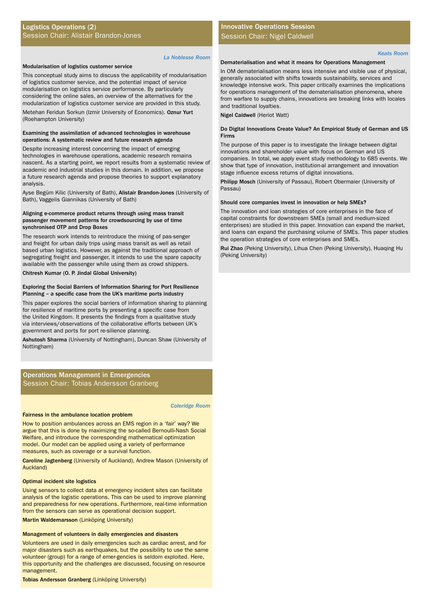# Logistics Operations (2) Session Chair: Alistair Brandon-Jones

#### *La Noblesse Room*

#### Modularisation of logistics customer service

This conceptual study aims to discuss the applicability of modularisation of logistics customer service, and the potential impact of service modularisation on logistics service performance. By particularly considering the online sales, an overview of the alternatives for the modularization of logistics customer service are provided in this study.

Metehan Feridun Sorkun (Izmir University of Economics). Oznur Yurt (Roehampton University)

#### Examining the assimilation of advanced technologies in warehouse operations: A systematic review and future research agenda

Despite increasing interest concerning the impact of emerging technologies in warehouse operations, academic research remains nascent. As a starting point, we report results from a systematic review of academic and industrial studies in this domain. In addition, we propose a future research agenda and propose theories to support explanatory analysis.

Ayse Begüm Kilic (University of Bath), Alistair Brandon-Jones (University of Bath), Vaggelis Giannikas (University of Bath)

#### Aligning e-commerce product returns through using mass transit passenger movement patterns for crowdsourcing by use of time synchronised OTP and Drop Boxes

The research work intends to reintroduce the mixing of pas-senger and freight for urban daily trips using mass transit as well as retail based urban logistics. However, as against the traditional approach of segregating freight and passenger, it intends to use the spare capacity available with the passenger while using them as crowd shippers.

Chitresh Kumar (O. P. Jindal Global University)

#### Exploring the Social Barriers of Information Sharing for Port Resilience Planning – a specific case from the UK's maritime ports industry

This paper explores the social barriers of information sharing to planning for resilience of maritime ports by presenting a specific case from the United Kingdom. It presents the findings from a qualitative study via interviews/observations of the collaborative efforts between UK's government and ports for port re-silience planning.

Ashutosh Sharma (University of Nottingham), Duncan Shaw (University of Nottingham)

# Operations Management in Emergencies Session Chair: Tobias Andersson Granberg

*Coleridge Room*

#### Fairness in the ambulance location problem

How to position ambulances across an EMS region in a 'fair' way? We argue that this is done by maximizing the so-called Bernoulli-Nash Social Welfare, and introduce the corresponding mathematical optimization model. Our model can be applied using a variety of performance measures, such as coverage or a survival function.

Caroline Jagtenberg (University of Auckland), Andrew Mason (University of Auckland)

#### Optimal incident site logistics

Using sensors to collect data at emergency incident sites can facilitate analysis of the logistic operations. This can be used to improve planning and preparedness for new operations. Furthermore, real-time information from the sensors can serve as operational decision support.

Martin Waldemarsson (Linköping University)

#### Management of volunteers in daily emergencies and disasters

Volunteers are used in daily emergencies such as cardiac arrest, and for major disasters such as earthquakes, but the possibility to use the same volunteer (group) for a range of emer-gencies is seldom exploited. Here, this opportunity and the challenges are discussed, focusing on resource management.

Tobias Andersson Granberg (Linköping University)

# Innovative Operations Session Session Chair: Nigel Caldwell

#### *Keats Room*

#### Dematerialisation and what it means for Operations Management

In OM dematerialisation means less intensive and visible use of physical, generally associated with shifts towards sustainability, services and knowledge intensive work. This paper critically examines the implications for operations management of the dematerialisation phenomena, where from warfare to supply chains, innovations are breaking links with locales and traditional loyalties.

Nigel Caldwell (Heriot Watt)

#### Do Digital Innovations Create Value? An Empirical Study of German and US Firms

The purpose of this paper is to investigate the linkage between digital innovations and shareholder value with focus on German and US companies. In total, we apply event study methodology to 685 events. We show that type of innovation, institution-al arrangement and innovation stage influence excess returns of digital innovations.

Philipp Mosch (University of Passau), Robert Obermaier (University of Passau)

#### Should core companies invest in innovation or help SMEs?

The innovation and loan strategies of core enterprises in the face of capital constraints for downstream SMEs (small and medium-sized enterprises) are studied in this paper. Innovation can expand the market, and loans can expand the purchasing volume of SMEs. This paper studies the operation strategies of core enterprises and SMEs.

Rui Zhao (Peking University), Lihua Chen (Peking University), Huaqing Hu (Peking University)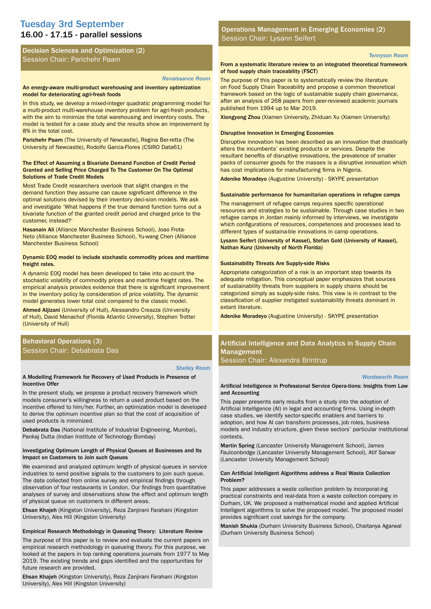# 16.00 - 17.15 - parallel sessions Tuesday 3rd September

Decision Sciences and Optimization (2) Session Chair: Parichehr Paam

#### *Renaissance Room*

#### An energy-aware multi-product warehousing and inventory optimization model for deteriorating agri-fresh foods

In this study, we develop a mixed-integer quadratic programming model for a multi-product multi-warehouse inventory problem for agri-fresh products, with the aim to minimize the total warehousing and inventory costs. The model is tested for a case study and the results show an improvement by 8% in the total cost.

Parichehr Paam (The University of Newcastle), Regina Ber-retta (The University of Newcastle), Rodolfo Garcia-Flores (CSIRO Data61)

#### The Effect of Assuming a Bivariate Demand Function of Credit Period Granted and Selling Price Charged To The Customer On The Optimal Solutions of Trade Credit Models

Most Trade Credit researchers overlook that slight changes in the demand function they assume can cause significant difference in the optimal solutions devised by their inventory deci-sion models. We ask and investigate 'What happens if the true demand function turns out a bivariate function of the granted credit period and charged price to the customer, instead?'

Hasanain Ali (Alliance Manchester Business School), Joao Frota-Neto (Alliance Manchester Business School), Yu-wang Chen (Alliance Manchester Business School)

#### Dynamic EOQ model to include stochastic commodity prices and maritime freight rates.

A dynamic EOQ model has been developed to take into ac-count the stochastic volatility of commodity prices and maritime freight rates. The empirical analysis provides evidence that there is significant improvement in the inventory policy by consideration of price volatility. The dynamic model generates lower total cost compared to the classic model.

Ahmed Aljizani (University of Hull), Alessandro Creazza (Uni-versity of Hull), David Menachof (Florida Atlantic University), Stephen Trotter (University of Hull)

# Behavioral Operations (3) Session Chair: Debabrata Das

#### *Shelley Room*

#### A Modelling Framework for Recovery of Used Products in Presence of Incentive Offer

In the present study, we propose a product recovery framework which models consumer's willingness to return a used product based on the incentive offered to him/her. Further, an optimization model is developed to derive the optimum incentive plan so that the cost of acquisition of used products is minimized.

Debabrata Das (National Institute of Industrial Engineering, Mumbai), Pankaj Dutta (Indian Institute of Technology Bombay)

#### Investigating Optimum Length of Physical Queues at Businesses and Its Impact on Customers to Join such Queues

We examined and analyzed optimum length of physical queues in service industries to send positive signals to the customers to join such queue. The data collected from online survey and empirical findings through observation of four restaurants in London. Our findings from quantitative analyses of survey and observations show the effect and optimum length of physical queue on customers in different areas.

Ehsan Khajeh (Kingston University), Reza Zanjirani Farahani (Kingston University), Alex Hill (Kingston University)

#### Empirical Research Methodology in Queueing Theory: Literature Review

The purpose of this paper is to review and evaluate the current papers on empirical research methodology in queueing theory. For this purpose, we looked at the papers in top ranking operations journals from 1977 to May 2019. The existing trends and gaps identified and the opportunities for future research are provided.

Ehsan Khajeh (Kingston University), Reza Zanjirani Farahani (Kingston University), Alex Hill (Kingston University)

Operations Management in Emerging Economies (2) Session Chair: Lysann Seifert

#### *Tennyson Room*

#### From a systematic literature review to an integrated theoretical framework of food supply chain traceability (FSCT)

The purpose of this paper is to systematically review the literature on Food Supply Chain Traceability and propose a common theoretical framework based on the logic of sustainable supply chain governance, after an analysis of 268 papers from peer-reviewed academic journals published from 1994 up to Mar 2019.

Xiongyong Zhou (Xiamen University, Zhiduan Xu (Xiamen University)

#### Disruptive Innovation in Emerging Economies

Disruptive innovation has been described as an innovation that drastically alters the incumbents' existing products or services. Despite the resultant benefits of disruptive innovations, the prevalence of smaller packs of consumer goods for the masses is a disruptive innovation which has cost implications for manufacturing firms in Nigeria.

Adenike Moradeyo (Augustine University) - SKYPE presentation

#### Sustainable performance for humanitarian operations in refugee camps

The management of refugee camps requires specific operational resources and strategies to be sustainable. Through case studies in two refugee camps in Jordan mainly informed by interviews, we investigate which configurations of resources, competences and processes lead to different types of sustaina-ble innovations in camp operations.

Lysann Seifert (University of Kassel), Stefan Gold (University of Kassel), Nathan Kunz (University of North Florida)

#### Sustainability Threats Are Supply-side Risks

Appropriate categorization of a risk is an important step towards its adequate mitigation. This conceptual paper emphasizes that sources of sustainability threats from suppliers in supply chains should be categorized simply as supply-side risks. This view is in contrast to the classification of supplier instigated sustainability threats dominant in extant literature.

Adenike Moradeyo (Augustine University) - SKYPE presentation

# Artificial Intelligence and Data Analytics in Supply Chain Management

Session Chair: Alexandra Brintrup

#### *Wordsworth Room*

#### Artificial Intelligence in Professional Service Opera-tions: Insights from Law and Accounting

This paper presents early results from a study into the adoption of Artificial Intelligence (AI) in legal and accounting firms. Using in-depth case studies, we identify sector-specific enablers and barriers to adoption, and how AI can transform processes, job roles, business models and industry structure, given these sectors' particular institutional contexts.

Martin Spring (Lancaster University Management School), James Faulconbridge (Lancaster University Management School), Atif Sarwar (Lancaster University Management School)

#### Can Artificial Intelligent Algorithms address a Real Waste Collection Problem?

This paper addresses a waste collection problem by incorporat-ing practical constraints and real-data from a waste collection company in Durham, UK. We proposed a mathematical model and applied Artificial Intelligent algorithms to solve the proposed model. The proposed model provides significant cost savings for the company.

Manish Shukla (Durham University Business School), Chaitanya Agarwal (Durham University Business School)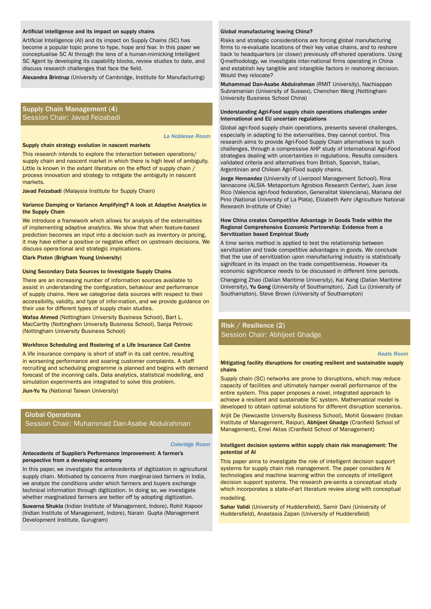#### Artificial intelligence and its impact on supply chains

Artificial Intelligence (AI) and its impact on Supply Chains (SC) has become a popular topic prone to hype, hope and fear. In this paper we conceptualise SC AI through the lens of a human-mimicking Intelligent SC Agent by developing its capability blocks, review studies to date, and discuss research challenges that face the field.

Alexandra Brintrup (University of Cambridge, Institute for Manufacturing)

#### Supply Chain Management (4) Session Chair: Javad Feizabadi

*La Noblesse Room*

#### Supply chain strategy evolution in nascent markets

This research intends to explore the interaction between operations/ supply chain and nascent market in which there is high level of ambiguity. Little is known in the extant literature on the effect of supply chain / process innovation and strategy to mitigate the ambiguity in nascent markets.

Javad Feizabadi (Malaysia Institute for Supply Chain)

#### Variance Damping or Variance Amplifying? A look at Adaptive Analytics in the Supply Chain

We introduce a framework which allows for analysis of the externalities of implementing adaptive analytics. We show that when feature-based prediction becomes an input into a decision such as inventory or pricing, it may have either a positive or negative effect on upstream decisions. We discuss opera-tional and strategic implications.

#### Clark Pixton (Brigham Young University)

#### Using Secondary Data Sources to Investigate Supply Chains

There are an increasing number of information sources available to assist in understanding the configuration, behaviour and performance of supply chains. Here we categorise data sources with respect to their accessibility, validity, and type of infor-mation, and we provide guidance on their use for different types of supply chain studies.

Wafaa Ahmed (Nottingham University Business School), Bart L. MacCarthy (Nottingham University Business School), Sanja Petrovic (Nottingham University Business School)

#### Workforce Scheduling and Rostering of a Life Insurance Call Centre

A life insurance company is short of staff in its call centre, resulting in worsening performance and soaring customer complaints. A staff recruiting and scheduling programme is planned and begins with demand forecast of the incoming calls. Data analytics, statistical modelling, and simulation experiments are integrated to solve this problem.

**Jiun-Yu Yu** (National Taiwan University)

# Global Operations

Session Chair: Muhammad Dan-Asabe Abdulrahman

#### *Coleridge Room*

#### Antecedents of Supplier's Performance Improvement: A farmer's perspective from a developing economy

In this paper, we investigate the antecedents of digitization in agricultural supply chain. Motivated by concerns from marginal-ized farmers in India, we analyze the conditions under which farmers and buyers exchange technical information through digitization. In doing so, we investigate whether marginalized farmers are better off by adopting digitization.

Suwarna Shukla (Indian Institute of Management, Indore), Rohit Kapoor (Indian Institute of Management, Indore), Narain Gupta (Management Development Institute, Gurugram)

#### Global manufacturing leaving China?

Risks and strategic considerations are forcing global manufacturing firms to re-evaluate locations of their key value chains, and to reshore back to headquarters (or closer) previously off-shored operations. Using Q-methodology, we investigate inter-national firms operating in China and establish key tangible and intangible factors in reshoring decision. Would they relocate?

Muhammad Dan-Asabe Abdulrahman (RMIT University), Nachiappan Subramanian (University of Sussex), Chenchen Weng (Nottingham University Business School China)

#### Understanding Agri-Food supply chain operations challenges under International and EU uncertain regulations

Global agri-food supply chain operations, presents several challenges, especially in adapting to the externalities, they cannot control. This research aims to provide Agri-Food Supply Chain alternatives to such challenges, through a compressive AHP study of international Agri-Food strategies dealing with uncertainties in regulations. Results considers validated criteria and alternatives from British, Spanish, Italian, Argentinian and Chilean Agri-Food supply chains.

Jorge Hernandez (University of Liverpool Management School), Rina Iannacone (ALSIA- Metapontum Agrobios Research Center), Juan Jose Rico (Valencia agri-food federation, Generalitat Valenciana), Mariana del Pino (National University of La Plata), Elizabeth Kehr (Agriculture National Research In-stitute of Chile)

#### How China creates Competitive Advantage in Goods Trade within the Regional Comprehensive Economic Partnership: Evidence from a Servitization based Empirical Study

A time series method is applied to test the relationship between servitization and trade competitive advantages in goods. We conclude that the use of servitization upon manufacturing industry is statistically significant in its impact on the trade competitiveness. However its economic significance needs to be discussed in different time periods.

Changping Zhao (Dalian Maritime University), Kai Kang (Dalian Maritime University), Yu Gong (University of Southampton), Zudi Lu (University of Southampton), Steve Brown (University of Southampton)

# Risk / Resilience (2) Session Chair: Abhijeet Ghadge

*Keats Room*

#### Mitigating facility disruptions for creating resilient and sustainable supply chains

Supply chain (SC) networks are prone to disruptions, which may reduce capacity of facilities and ultimately hamper overall performance of the entire system. This paper proposes a novel, integrated approach to achieve a resilient and sustainable SC system. Mathematical model is developed to obtain optimal solutions for different disruption scenarios.

Arijit De (Newcastle University Business School), Mohit Goswami (Indian Institute of Management, Raipur), Abhijeet Ghadge (Cranfield School of Management), Emel Aktas (Cranfield School of Management)

#### Intelligent decision systems within supply chain risk management: The potential of AI

This paper aims to investigate the role of intelligent decision support systems for supply chain risk management. The paper considers AI technologies and machine learning within the concepts of intelligent decision support systems. The research pre-sents a conceptual study which incorporates a state-of-art literature review along with conceptual modelling.

Sahar Validi (University of Huddersfield), Samir Dani (University of Huddersfield), Anastasia Zapan (University of Huddersfield)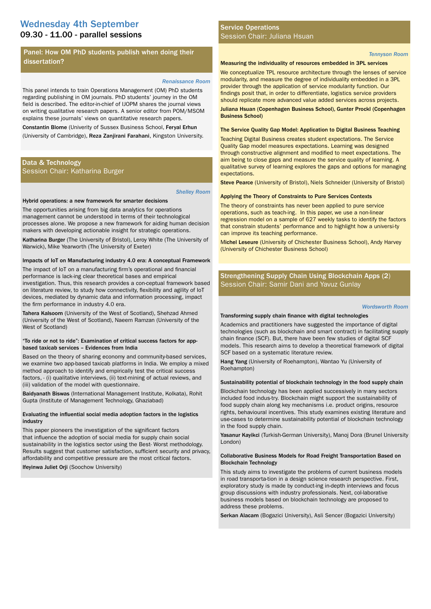# 09.30 - 11.00 - parallel sessions Wednesday 4th September

# Panel: How OM PhD students publish when doing their dissertation?

#### *Renaissance Room*

This panel intends to train Operations Management (OM) PhD students regarding publishing in OM journals. PhD students' journey in the OM field is described. The editor-in-chief of IJOPM shares the journal views on writing qualitative research papers. A senior editor from POM/MSOM explains these journals' views on quantitative research papers.

Constantin Blome (Univerity of Sussex Business School, Feryal Erhun (University of Cambridge), Reza Zanjirani Farahani, Kingston University.

# Data & Technology Session Chair: Katharina Burger

#### *Shelley Room*

#### Hybrid operations: a new framework for smarter decisions

The opportunities arising from big data analytics for operations management cannot be understood in terms of their technological processes alone. We propose a new framework for aiding human decision makers with developing actionable insight for strategic operations.

Katharina Burger (The University of Bristol), Leroy White (The University of Warwick), Mike Yearworth (The University of Exeter)

#### Impacts of IoT on Manufacturing industry 4.0 era: A conceptual Framework

The impact of IoT on a manufacturing firm's operational and financial performance is lack-ing clear theoretical bases and empirical investigation. Thus, this research provides a con-ceptual framework based on literature review, to study how connectivity, flexibility and agility of IoT devices, mediated by dynamic data and information processing, impact the firm performance in industry 4.0 era.

Tahera Kalsoom (University of the West of Scotland), Shehzad Ahmed (University of the West of Scotland), Naeem Ramzan (University of the West of Scotland)

#### "To ride or not to ride": Examination of critical success factors for appbased taxicab services – Evidences from India

Based on the theory of sharing economy and community-based services, we examine two app-based taxicab platforms in India. We employ a mixed method approach to identify and empirically test the critical success factors, - (i) qualitative interviews, (ii) text-mining of actual reviews, and (iii) validation of the model with questionnaire.

Baidyanath Biswas (International Management Institute, Kolkata), Rohit Gupta (Institute of Management Technology, Ghaziabad)

#### Evaluating the influential social media adoption factors in the logistics industry

This paper pioneers the investigation of the significant factors that influence the adoption of social media for supply chain social sustainability in the logistics sector using the Best- Worst methodology. Results suggest that customer satisfaction, sufficient security and privacy, affordability and competitive pressure are the most critical factors. Ifeyinwa Juliet Orji (Soochow University)

# Service Operations Session Chair: Juliana Hsuan

#### *Tennyson Room*

#### Measuring the individuality of resources embedded in 3PL services

We conceptualize TPL resource architecture through the lenses of service modularity, and measure the degree of individuality embedded in a 3PL provider through the application of service modularity function. Our findings posit that, in order to differentiate, logistics service providers should replicate more advanced value added services across projects.

Juliana Hsuan (Copenhagen Business School), Gunter Prockl (Copenhagen Business School)

#### The Service Quality Gap Model: Application to Digital Business Teaching

Teaching Digital Business creates student expectations. The Service Quality Gap model measures expectations. Learning was designed through constructive alignment and modified to meet expectations. The aim being to close gaps and measure the service quality of learning. A qualitative survey of learning explores the gaps and options for managing expectations.

Steve Pearce (University of Bristol), Niels Schneider (University of Bristol)

#### Applying the Theory of Constraints to Pure Services Contexts

The theory of constraints has never been applied to pure service operations, such as teach-ing. In this paper, we use a non-linear regression model on a sample of 627 weekly tasks to identify the factors that constrain students' performance and to highlight how a universi-ty can improve its teaching performance.

Michel Leseure (University of Chichester Business School), Andy Harvey (University of Chichester Business School)

# Strengthening Supply Chain Using Blockchain Apps (2) Session Chair: Samir Dani and Yavuz Gunlay

#### *Wordsworth Room*

#### Transforming supply chain finance with digital technologies

Academics and practitioners have suggested the importance of digital technologies (such as blockchain and smart contract) in facilitating supply chain finance (SCF). But, there have been few studies of digital SCF models. This research aims to develop a theoretical framework of digital SCF based on a systematic literature review.

Hang Yang (University of Roehampton), Wantao Yu (University of Roehampton)

#### Sustainability potential of blockchain technology in the food supply chain

Blockchain technology has been applied successively in many sectors included food indus-try. Blockchain might support the sustainability of food supply chain along key mechanisms i.e. product origins, resource rights, behavioural incentives. This study examines existing literature and use-cases to determine sustainability potential of blockchain technology in the food supply chain.

Yasanur Kayikci (Turkish-German University), Manoj Dora (Brunel University London)

#### Collaborative Business Models for Road Freight Transportation Based on Blockchain Technology

This study aims to investigate the problems of current business models in road transporta-tion in a design science research perspective. First, exploratory study is made by conduct-ing in-depth interviews and focus group discussions with industry professionals. Next, col-laborative business models based on blockchain technology are proposed to address these problems.

Serkan Alacam (Bogazici University), Asli Sencer (Bogazici University)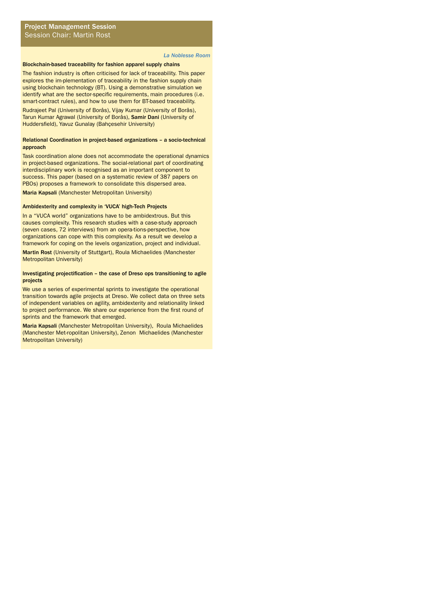#### *La Noblesse Room*

#### Blockchain-based traceability for fashion apparel supply chains

The fashion industry is often criticised for lack of traceability. This paper explores the im-plementation of traceability in the fashion supply chain using blockchain technology (BT). Using a demonstrative simulation we identify what are the sector-specific requirements, main procedures (i.e. smart-contract rules), and how to use them for BT-based traceability.

Rudrajeet Pal (University of Borås), Vijay Kumar (University of Borås), Tarun Kumar Agrawal (University of Borås), Samir Dani (University of Huddersfield), Yavuz Gunalay (Bahçesehir University)

#### Relational Coordination in project-based organizations – a socio-technical approach

Task coordination alone does not accommodate the operational dynamics in project-based organizations. The social-relational part of coordinating interdisciplinary work is recognised as an important component to success. This paper (based on a systematic review of 387 papers on PBOs) proposes a framework to consolidate this dispersed area. Maria Kapsali (Manchester Metropolitan University)

#### Ambidexterity and complexity in 'VUCA' high-Tech Projects

In a "VUCA world" organizations have to be ambidextrous. But this causes complexity. This research studies with a case-study approach (seven cases, 72 interviews) from an opera-tions-perspective, how organizations can cope with this complexity. As a result we develop a framework for coping on the levels organization, project and individual. Martin Rost (University of Stuttgart), Roula Michaelides (Manchester Metropolitan University)

#### Investigating projectification – the case of Dreso ops transitioning to agile projects

We use a series of experimental sprints to investigate the operational transition towards agile projects at Dreso. We collect data on three sets of independent variables on agility, ambidexterity and relationality linked to project performance. We share our experience from the first round of sprints and the framework that emerged.

Maria Kapsali (Manchester Metropolitan University), Roula Michaelides (Manchester Met-ropolitan University), Zenon Michaelides (Manchester Metropolitan University)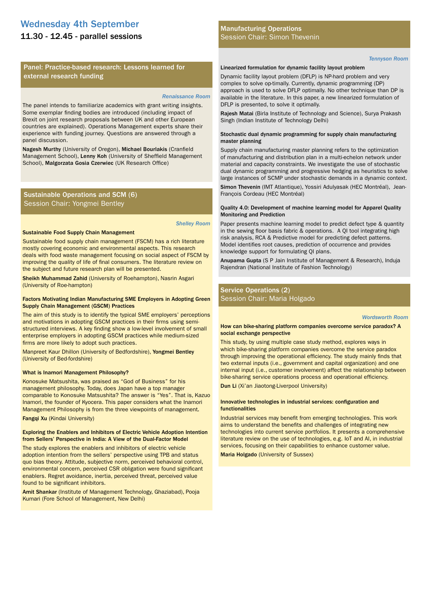# Wednesday 4th September

# 11.30 - 12.45 - parallel sessions

# Panel: Practice-based research: Lessons learned for external research funding

#### *Renaissance Room*

The panel intends to familiarize academics with grant writing insights. Some exemplar finding bodies are introduced (including impact of Brexit on joint research proposals between UK and other European countries are explained). Operations Management experts share their experience with funding journey. Questions are answered through a panel discussion.

Nagesh Murthy (University of Oregon), Michael Bourlakis (Cranfield Management School), Lenny Koh (University of Sheffield Management School), Malgorzata Gosia Czerwiec (UK Research Office)

# Sustainable Operations and SCM (6) Session Chair: Yongmei Bentley

*Shelley Room*

#### Sustainable Food Supply Chain Management

Sustainable food supply chain management (FSCM) has a rich literature mostly covering economic and environmental aspects. This research deals with food waste management focusing on social aspect of FSCM by improving the quality of life of final consumers. The literature review on the subject and future research plan will be presented.

Sheikh Muhammad Zahid (University of Roehampton), Nasrin Asgari (University of Roe-hampton)

#### Factors Motivating Indian Manufacturing SME Employers in Adopting Green Supply Chain Management (GSCM) Practices

The aim of this study is to identify the typical SME employers' perceptions and motivations in adopting GSCM practices in their firms using semistructured interviews. A key finding show a low-level involvement of small enterprise employers in adopting GSCM practices while medium-sized firms are more likely to adopt such practices.

Manpreet Kaur Dhillon (University of Bedfordshire), Yongmei Bentley (University of Bed-fordshire)

#### What is Inamori Management Philosophy?

Konosuke Matsushita, was praised as "God of Business" for his management philosophy. Today, does Japan have a top manager comparable to Konosuke Matsushita? The answer is "Yes". That is, Kazuo Inamori, the founder of Kyocera. This paper considers what the Inamori Management Philosophy is from the three viewpoints of management.

Fangqi Xu (Kindai University)

#### Exploring the Enablers and Inhibitors of Electric Vehicle Adoption Intention from Sellers' Perspective in India: A View of the Dual-Factor Model

The study explores the enablers and inhibitors of electric vehicle adoption intention from the sellers' perspective using TPB and status quo bias theory. Attitude, subjective norm, perceived behavioral control, environmental concern, perceived CSR obligation were found significant enablers. Regret avoidance, inertia, perceived threat, perceived value found to be significant inhibitors.

Amit Shankar (Institute of Management Technology, Ghaziabad), Pooja Kumari (Fore School of Management, New Delhi)

## Manufacturing Operations Session Chair: Simon Thevenin

*Tennyson Room*

#### Linearized formulation for dynamic facility layout problem

Dynamic facility layout problem (DFLP) is NP-hard problem and very complex to solve op-timally. Currently, dynamic programming (DP) approach is used to solve DFLP optimally. No other technique than DP is available in the literature. In this paper, a new linearized formulation of DFLP is presented, to solve it optimally.

Rajesh Matai (Birla Institute of Technology and Science), Surya Prakash Singh (Indian Institute of Technology Delhi)

#### Stochastic dual dynamic programming for supply chain manufacturing master planning

Supply chain manufacturing master planning refers to the optimization of manufacturing and distribution plan in a multi-echelon network under material and capacity constraints. We investigate the use of stochastic dual dynamic programming and progressive hedging as heuristics to solve large instances of SCMP under stochastic demands in a dynamic context.

Simon Thevenin (IMT Atlantique), Yossiri Adulyasak (HEC Montréal), Jean-François Cordeau (HEC Montréal)

#### Quality 4.0: Development of machine learning model for Apparel Quality Monitoring and Prediction

Paper presents machine learning model to predict defect type & quantity in the sewing floor basis fabric & operations. A QI tool integrating high risk analysis, RCA & Predictive model for predicting defect patterns. Model identifies root causes, prediction of occurrence and provides knowledge support for formulating QI plans.

Anupama Gupta (S P Jain Institute of Management & Research), Induja Rajendran (National Institute of Fashion Technology)

# Service Operations (2) Session Chair: Maria Holgado

#### *Wordsworth Room*

How can bike-sharing platform companies overcome service paradox? A social exchange perspective

This study, by using multiple case study method, explores ways in which bike-sharing platform companies overcome the service paradox through improving the operational efficiency. The study mainly finds that two external inputs (i.e., government and capital organization) and one internal input (i.e., customer involvement) affect the relationship between bike-sharing service operations process and operational efficiency. Dun Li (Xi'an Jiaotong-Liverpool University)

#### Innovative technologies in industrial services: configuration and functionalities

Industrial services may benefit from emerging technologies. This work aims to understand the benefits and challenges of integrating new technologies into current service portfolios. It presents a comprehensive literature review on the use of technologies, e.g. IoT and AI, in industrial services, focusing on their capabilities to enhance customer value.

Maria Holgado (University of Sussex)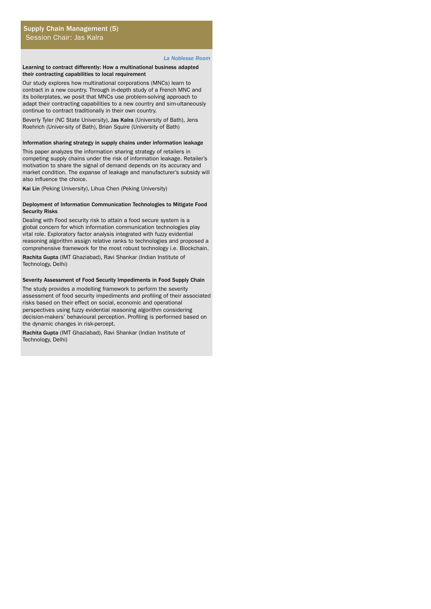#### *La Noblesse Room*

#### Learning to contract differently: How a multinational business adapted their contracting capabilities to local requirement

Our study explores how multinational corporations (MNCs) learn to contract in a new country. Through in-depth study of a French MNC and its boilerplates, we posit that MNCs use problem-solving approach to adapt their contracting capabilities to a new country and sim-ultaneously continue to contract traditionally in their own country.

Beverly Tyler (NC State University), Jas Kalra (University of Bath), Jens Roehrich (Univer-sity of Bath), Brian Squire (University of Bath)

#### Information sharing strategy in supply chains under information leakage

This paper analyzes the information sharing strategy of retailers in competing supply chains under the risk of information leakage. Retailer's motivation to share the signal of demand depends on its accuracy and market condition. The expanse of leakage and manufacturer's subsidy will also influence the choice.

Kai Lin (Peking University), Lihua Chen (Peking University)

#### Deployment of Information Communication Technologies to Mitigate Food Security Risks

Dealing with Food security risk to attain a food secure system is a global concern for which information communication technologies play vital role. Exploratory factor analysis integrated with fuzzy evidential reasoning algorithm assign relative ranks to technologies and proposed a comprehensive framework for the most robust technology i.e. Blockchain.

Rachita Gupta (IMT Ghaziabad), Ravi Shankar (Indian Institute of Technology, Delhi)

#### Severity Assessment of Food Security Impediments in Food Supply Chain

The study provides a modelling framework to perform the severity assessment of food security impediments and profiling of their associated risks based on their effect on social, economic and operational perspectives using fuzzy evidential reasoning algorithm considering decision-makers' behavioural perception. Profiling is performed based on the dynamic changes in risk-percept.

Rachita Gupta (IMT Ghaziabad), Ravi Shankar (Indian Institute of Technology, Delhi)